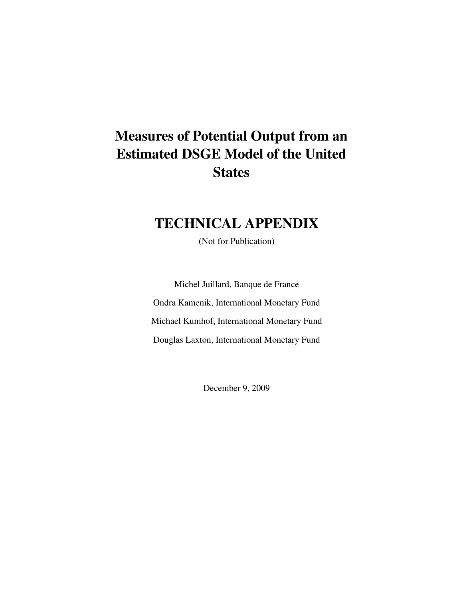# **Measures of Potential Output from an Estimated DSGE Model of the United States**

# **TECHNICAL APPENDIX**

(Not for Publication)

Michel Juillard, Banque de France Ondra Kamenik, International Monetary Fund Michael Kumhof, International Monetary Fund Douglas Laxton, International Monetary Fund

December 9, 2009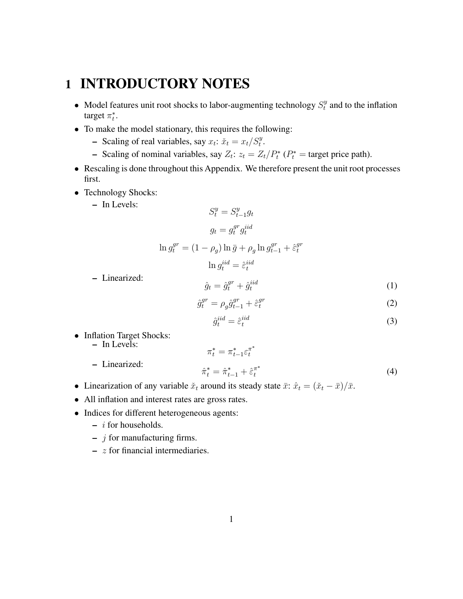# **1 INTRODUCTORY NOTES**

- Model features unit root shocks to labor-augmenting technology  $S_t^y$  $t<sup>y</sup>$  and to the inflation target  $\pi_t^*$ .
- To make the model stationary, this requires the following:
	- **–** Scaling of real variables, say  $x_t$ :  $\check{x}_t = x_t/S_t^y$ .
	- **–** Scaling of nominal variables, say  $Z_t$ :  $z_t = Z_t/P_t^*$  ( $P_t^*$  = target price path).
- Rescaling is done throughout this Appendix. We therefore present the unit root processes first.

 $\sim$ u

- Technology Shocks:
	- **–** In Levels:

$$
S_t^y = S_{t-1}^y g_t
$$

$$
g_t = g_t^{gr} g_t^{iid}
$$

$$
\ln g_t^{gr} = (1 - \rho_g) \ln \bar{g} + \rho_g \ln g_{t-1}^{gr} + \hat{\varepsilon}_t^{gr}
$$

$$
\ln g_t^{iid} = \hat{\varepsilon}_t^{iid}
$$

**–** Linearized:

$$
\hat{g}_t = \hat{g}_t^{gr} + \hat{g}_t^{iid} \tag{1}
$$

$$
\hat{g}_t^{gr} = \rho_g \hat{g}_{t-1}^{gr} + \hat{\varepsilon}_t^{gr} \tag{2}
$$

$$
\hat{g}_t^{iid} = \hat{\varepsilon}_t^{iid} \tag{3}
$$

• Inflation Target Shocks:

**–** In Levels:

**–** Linearized:

$$
\pi_t^* = \pi_{t-1}^* \varepsilon_t^{\pi^*}
$$
  
\n
$$
\hat{\pi}_t^* = \hat{\pi}_{t-1}^* + \hat{\varepsilon}_t^{\pi^*}
$$
\n(4)

- Linearization of any variable  $\tilde{x}_t$  around its steady state  $\bar{x}: \hat{x}_t = (\tilde{x}_t \bar{x})/\bar{x}$ .
- All inflation and interest rates are gross rates.
- Indices for different heterogeneous agents:
	- **–** i for households.
	- **–** j for manufacturing firms.
	- **–** z for financial intermediaries.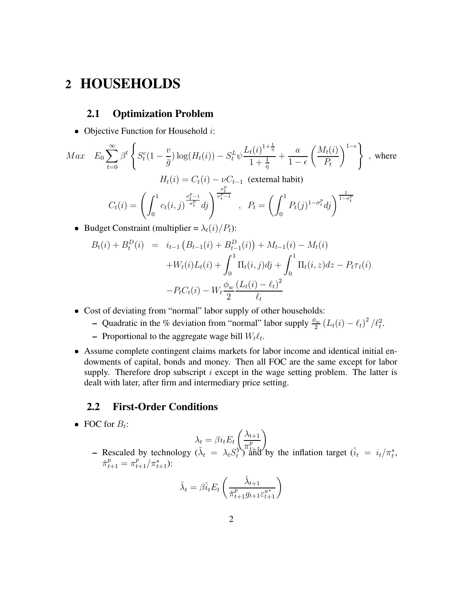## **2 HOUSEHOLDS**

### **2.1 Optimization Problem**

• Objective Function for Household  $i$ :

$$
Max \t E_0 \sum_{t=0}^{\infty} \beta^t \left\{ S_t^c (1 - \frac{v}{\overline{g}}) \log(H_t(i)) - S_t^L \psi \frac{L_t(i)^{1 + \frac{1}{\eta}}}{1 + \frac{1}{\eta}} + \frac{a}{1 - \epsilon} \left( \frac{M_t(i)}{P_t} \right)^{1 - \epsilon} \right\}, \text{ where}
$$
  

$$
H_t(i) = C_t(i) - \nu C_{t-1} \text{ (external habit)}
$$
  

$$
C_t(i) = \left( \int_0^1 c_t(i, j) \frac{\sigma_t^{p-1}}{\sigma_t^p} dj \right)^{\frac{\sigma_t^{p}}{\sigma_t^p - 1}}, \quad P_t = \left( \int_0^1 P_t(j)^{1 - \sigma_t^p} dj \right)^{\frac{1}{1 - \sigma_t^p}}
$$

• Budget Constraint (multiplier =  $\lambda_t(i)/P_t$ ):

$$
B_t(i) + B_t^D(i) = i_{t-1} (B_{t-1}(i) + B_{t-1}^D(i)) + M_{t-1}(i) - M_t(i)
$$
  
+
$$
W_t(i)L_t(i) + \int_0^1 \Pi_t(i,j)dj + \int_0^1 \Pi_t(i,z)dz - P_t\tau_t(i)
$$
  
-
$$
-P_tC_t(i) - W_t \frac{\phi_w}{2} \frac{(L_t(i) - \ell_t)^2}{\ell_t}
$$

- Cost of deviating from "normal" labor supply of other households:
	- **–** Quadratic in the % deviation from "normal" labor supply  $\frac{\phi_w}{2} (L_t(i) \ell_t)^2 / \ell_t^2$ .
	- $\blacksquare$  Proportional to the aggregate wage bill  $W_t \ell_t$ .
- Assume complete contingent claims markets for labor income and identical initial endowments of capital, bonds and money. Then all FOC are the same except for labor supply. Therefore drop subscript  $i$  except in the wage setting problem. The latter is dealt with later, after firm and intermediary price setting.

#### **2.2 First-Order Conditions**

• FOC for  $B_t$ :

$$
\lambda_t = \beta i_t E_t \left( \frac{\lambda_{t+1}}{\pi_{t+1}^p} \right)
$$

 $\lambda_t = \beta i_t E_t \left( \frac{\lambda_{t+1}}{n^p} \right)$ <br> **–** Rescaled by technology ( $\tilde{\lambda}_t = \lambda_t S_t^{\gamma}$  and by the inflation target ( $i_t = i_t / \pi_t^*$ ,  $\check{\pi}_{t+1}^p = \pi_{t+1}^p / \pi_{t+1}^*$ ):

$$
\check{\lambda}_t = \beta \check{i}_t E_t \left( \frac{\check{\lambda}_{t+1}}{\check{\pi}_{t+1}^p g_{t+1} \varepsilon_{t+1}^{\pi^*}} \right)
$$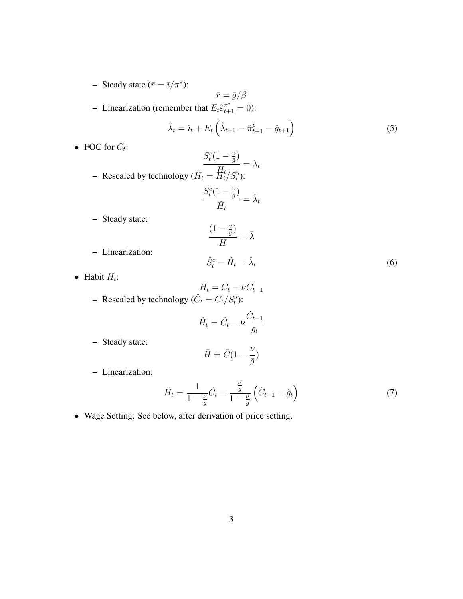- **–** Steady state  $(\bar{r} = \bar{i}/\pi^*)$ :
- $\bar{r}=\bar{g}/\beta$ **-** Linearization (remember that  $E_t \hat{\epsilon}_{t+1}^{\pi^*} = 0$ ):  $\hat{\lambda}_t = \hat{i}_t + E_t \left( \hat{\lambda}_{t+1} - \hat{\pi}_{t+1}^p - \hat{g}_{t+1} \right)$ (5)
- FOC for  $C_t$ :

Recaled by technology 
$$
\begin{aligned}\n\frac{S_t^c(1-\frac{v}{\bar{g}})}{H_t} &= \lambda_t \\
-\text{ Rescaled by technology } (\check{H}_t = \frac{H_t}{H_t}/S_t^y):\n\frac{S_t^c(1-\frac{v}{\bar{g}})}{\check{H}_t} &= \check{\lambda}_t\n\end{aligned}
$$

\nSteady state:

**–** Linearization:

$$
\frac{(1-\frac{v}{\bar{g}})}{\bar{H}} = \bar{\lambda}
$$
  

$$
\hat{S}_t^c - \hat{H}_t = \hat{\lambda}_t
$$
 (6)

• Habit  $H_t$ :

$$
H_t = C_t - \nu C_{t-1}
$$
  
– Rescaled by technology  $(\check{C}_t = C_t/S_t^y)$ :

$$
\check{H}_t = \check{C}_t - \nu \frac{\check{C}_{t-1}}{g_t}
$$

**–** Steady state:

$$
\bar{H} = \bar{C}(1 - \frac{\nu}{\bar{g}})
$$

**–** Linearization:

$$
\hat{H}_t = \frac{1}{1 - \frac{\nu}{\bar{g}}} \hat{C}_t - \frac{\frac{\nu}{\bar{g}}}{1 - \frac{\nu}{\bar{g}}} \left( \hat{C}_{t-1} - \hat{g}_t \right)
$$
(7)

• Wage Setting: See below, after derivation of price setting.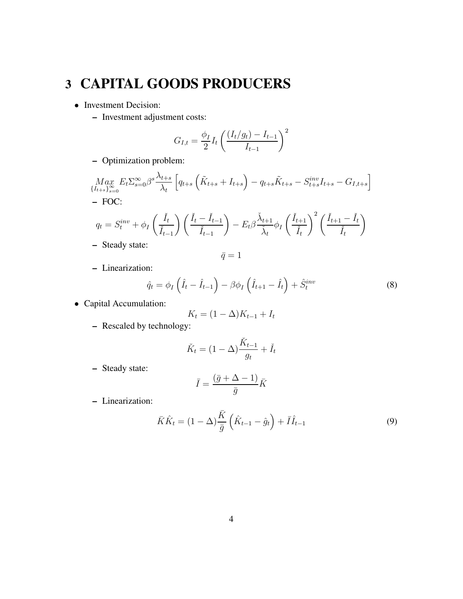# **3 CAPITAL GOODS PRODUCERS**

- Investment Decision:
	- **–** Investment adjustment costs:

$$
G_{I,t} = \frac{\phi_I}{2} I_t \left( \frac{(I_t/g_t) - I_{t-1}}{I_{t-1}} \right)^2
$$

**–** Optimization problem:

$$
\underset{\{I_{t+s}\}_{s=0}^{\infty}}{\text{Max}} E_t \Sigma_{s=0}^{\infty} \beta^s \frac{\lambda_{t+s}}{\lambda_t} \left[ q_{t+s} \left( \tilde{K}_{t+s} + I_{t+s} \right) - q_{t+s} \tilde{K}_{t+s} - S_{t+s}^{inv} I_{t+s} - G_{I,t+s} \right]
$$
  
- FOC:

$$
q_t = S_t^{inv} + \phi_I \left(\frac{\check{I}_t}{\check{I}_{t-1}}\right) \left(\frac{\check{I}_t - \check{I}_{t-1}}{\check{I}_{t-1}}\right) - E_t \beta \frac{\check{\lambda}_{t+1}}{\check{\lambda}_t} \phi_I \left(\frac{\check{I}_{t+1}}{\check{I}_t}\right)^2 \left(\frac{\check{I}_{t+1} - \check{I}_t}{\check{I}_t}\right)
$$
Stoglu stato:

**–** Steady state:

$$
\bar{q}=1
$$

**–** Linearization:

$$
\hat{q}_t = \phi_I \left( \hat{I}_t - \hat{I}_{t-1} \right) - \beta \phi_I \left( \hat{I}_{t+1} - \hat{I}_t \right) + \hat{S}_t^{inv} \tag{8}
$$

• Capital Accumulation:

$$
K_t = (1 - \Delta)K_{t-1} + I_t
$$

**–** Rescaled by technology:

$$
\check{K}_t = (1 - \Delta) \frac{\check{K}_{t-1}}{g_t} + \check{I}_t
$$

**–** Steady state:

$$
\bar{I} = \frac{(\bar{g} + \Delta - 1)}{\bar{g}} \bar{K}
$$

**–** Linearization:

$$
\bar{K}\hat{K}_t = (1 - \Delta)\frac{\bar{K}}{\bar{g}}\left(\hat{K}_{t-1} - \hat{g}_t\right) + \bar{I}\hat{I}_{t-1}
$$
\n(9)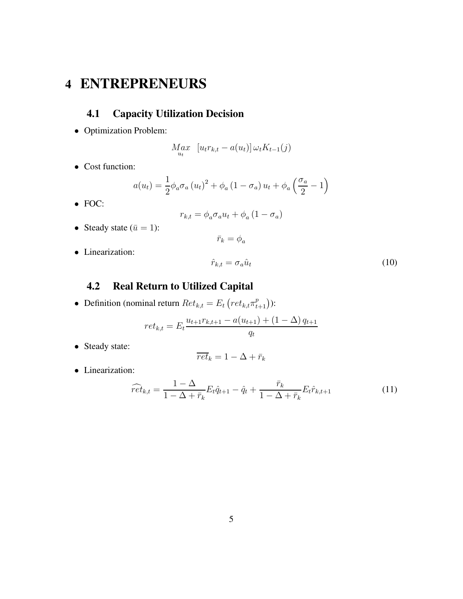# **4 ENTREPRENEURS**

## **4.1 Capacity Utilization Decision**

• Optimization Problem:

$$
M_{u_t}^{a} \left[ u_t r_{k,t} - a(u_t) \right] \omega_t K_{t-1}(j)
$$

• Cost function:

$$
a(u_t) = \frac{1}{2} \phi_a \sigma_a (u_t)^2 + \phi_a (1 - \sigma_a) u_t + \phi_a \left(\frac{\sigma_a}{2} - 1\right)
$$

• FOC:

$$
r_{k,t} = \phi_a \sigma_a u_t + \phi_a (1 - \sigma_a)
$$

 $\bar{r}_k = \phi_a$ 

- Steady state  $(\bar{u} = 1)$ :
- Linearization:

$$
\hat{r}_{k,t} = \sigma_a \hat{u}_t \tag{10}
$$

## **4.2 Real Return to Utilized Capital**

• Definition (nominal return  $Ret_{k,t} = E_t \left( ret_{k,t} \pi^p_{t+1} \right)$ ):

$$
ret_{k,t} = E_t \frac{u_{t+1}r_{k,t+1} - a(u_{t+1}) + (1 - \Delta)q_{t+1}}{q_t}
$$

• Steady state:

$$
\overline{ret}_k = 1 - \Delta + \bar{r}_k
$$

• Linearization:

$$
\widehat{ret}_{k,t} = \frac{1 - \Delta}{1 - \Delta + \bar{r}_k} E_t \hat{q}_{t+1} - \hat{q}_t + \frac{\bar{r}_k}{1 - \Delta + \bar{r}_k} E_t \hat{r}_{k,t+1}
$$
(11)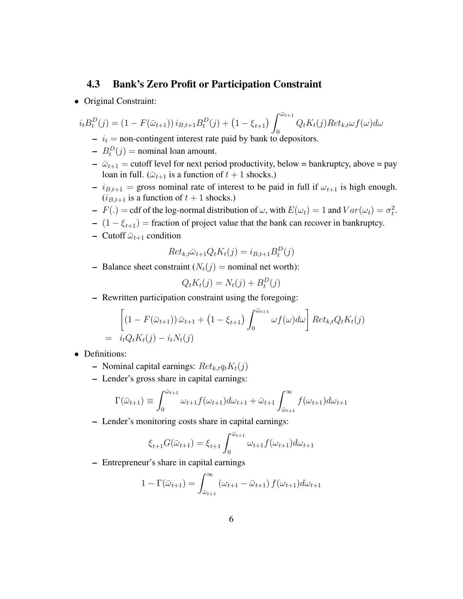### **4.3 Bank's Zero Profit or Participation Constraint**

• Original Constraint:

$$
i_t B_t^D(j) = (1 - F(\bar{\omega}_{t+1})) i_{B,t+1} B_t^D(j) + (1 - \xi_{t+1}) \int_0^{\bar{\omega}_{t+1}} Q_t K_t(j) R e t_{k,t} \omega f(\omega) d\omega
$$

- $\dot{v}_t = \text{non-contingent interest rate paid by bank to deposits.}$
- $B_t^D(j) =$  nominal loan amount.
- $\overline{\omega}_{t+1}$  = cutoff level for next period productivity, below = bankruptcy, above = pay loan in full. ( $\bar{\omega}_{t+1}$  is a function of  $t + 1$  shocks.)
- $i_{B,t+1}$  = gross nominal rate of interest to be paid in full if  $\omega_{t+1}$  is high enough.  $(i_{B,t+1}$  is a function of  $t + 1$  shocks.)
- **–**  $F(.) = \text{cdf of the log-normal distribution of } \omega$ , with  $E(\omega_t) = 1$  and  $Var(\omega_t) = \sigma_t^2$ .
- **–**  $(1 \xi_{t+1})$  = fraction of project value that the bank can recover in bankruptcy.
- **–** Cutoff  $\bar{\omega}_{t+1}$  condition

$$
Ret_{k,t}\bar{\omega}_{t+1}Q_tK_t(j) = i_{B,t+1}B_t^D(j)
$$

**–** Balance sheet constraint  $(N_t(j))$  = nominal net worth):

$$
Q_t K_t(j) = N_t(j) + B_t^D(j)
$$

**–** Rewritten participation constraint using the foregoing:

$$
\left[ (1 - F(\bar{\omega}_{t+1})) \bar{\omega}_{t+1} + (1 - \xi_{t+1}) \int_0^{\bar{\omega}_{t+1}} \omega f(\omega) d\omega \right] Ret_{k,t}Q_tK_t(j)
$$
  
=  $i_t Q_tK_t(j) - i_t N_t(j)$ 

- Definitions:
	- **–** Nominal capital earnings:  $Ret_{k,t}q_tK_t(j)$
	- **–** Lender's gross share in capital earnings:

$$
\Gamma(\bar{\omega}_{t+1}) \equiv \int_0^{\bar{\omega}_{t+1}} \omega_{t+1} f(\omega_{t+1}) d\omega_{t+1} + \bar{\omega}_{t+1} \int_{\bar{\omega}_{t+1}}^{\infty} f(\omega_{t+1}) d\omega_{t+1}
$$

**–** Lender's monitoring costs share in capital earnings:

$$
\xi_{t+1} G(\bar{\omega}_{t+1}) = \xi_{t+1} \int_0^{\bar{\omega}_{t+1}} \omega_{t+1} f(\omega_{t+1}) d\omega_{t+1}
$$

**–** Entrepreneur's share in capital earnings

$$
1 - \Gamma(\bar{\omega}_{t+1}) = \int_{\bar{\omega}_{t+1}}^{\infty} (\omega_{t+1} - \bar{\omega}_{t+1}) f(\omega_{t+1}) d\omega_{t+1}
$$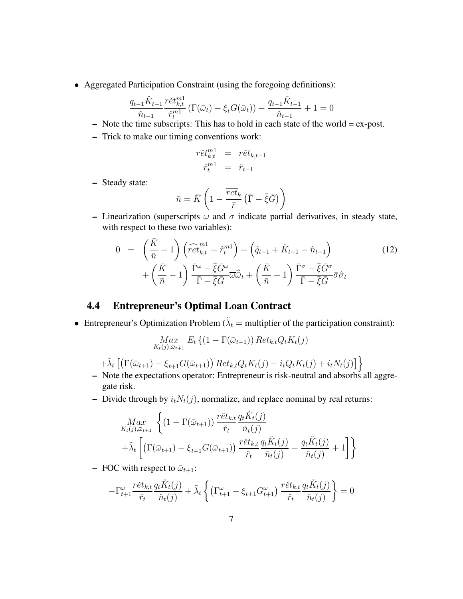• Aggregated Participation Constraint (using the foregoing definitions):

$$
\frac{q_{t-1}\check{K}_{t-1}}{\check{n}_{t-1}} \frac{r\check{e}t_{k,t}^{m1}}{\check{r}_t^{m1}} \left( \Gamma(\bar{\omega}_t) - \xi_t G(\bar{\omega}_t) \right) - \frac{q_{t-1}\check{K}_{t-1}}{\check{n}_{t-1}} + 1 = 0
$$

- **–** Note the time subscripts: This has to hold in each state of the world = ex-post.
- **–** Trick to make our timing conventions work:

$$
r \check{e} t_{k,t}^{m1} = r \check{e} t_{k,t-1}
$$

$$
\check{r}_t^{m1} = \check{r}_{t-1}
$$

**–** Steady state:

$$
\bar{n} = \bar{K} \left( 1 - \frac{\overline{ret}_k}{\bar{r}} \left( \bar{\Gamma} - \bar{\xi} \bar{G} \right) \right)
$$

**–** Linearization (superscripts  $\omega$  and  $\sigma$  indicate partial derivatives, in steady state, with respect to these two variables):

$$
0 = \left(\frac{\bar{K}}{\bar{n}} - 1\right) \left(\widehat{ret}_{k,t}^{m1} - \widehat{r}_t^{m1}\right) - \left(\widehat{q}_{t-1} + \widehat{K}_{t-1} - \widehat{n}_{t-1}\right) + \left(\frac{\bar{K}}{\bar{n}} - 1\right) \frac{\bar{\Gamma}^{\omega} - \overline{\xi} \bar{G}^{\omega}}{\bar{\Gamma} - \overline{\xi} \bar{G}} \overline{\omega} \widehat{\omega}_t + \left(\frac{\bar{K}}{\bar{n}} - 1\right) \frac{\bar{\Gamma}^{\sigma} - \overline{\xi} \bar{G}^{\sigma}}{\bar{\Gamma} - \overline{\xi} \bar{G}} \overline{\sigma} \widehat{\sigma}_t
$$
(12)

## **4.4 Entrepreneur's Optimal Loan Contract**

• Entrepreneur's Optimization Problem ( $\tilde{\lambda}_t$  = multiplier of the participation constraint):

$$
\underset{K_t(j),\bar{\omega}_{t+1}}{\text{Max}} E_t \left\{ (1 - \Gamma(\bar{\omega}_{t+1})) \operatorname{Ret}_{k,t} Q_t K_t(j) \right\}
$$

$$
+ \tilde{\lambda}_t \left[ \left( \Gamma(\bar{\omega}_{t+1}) - \xi_{t+1} G(\bar{\omega}_{t+1}) \right) Ret_{k,t} Q_t K_t(j) - i_t Q_t K_t(j) + i_t N_t(j) \right] \bigg\}
$$

- **–** Note the expectations operator: Entrepreneur is risk-neutral and absorbs all aggregate risk.
- **–** Divide through by  $i_tN_t(j)$ , normalize, and replace nominal by real returns:

$$
\begin{aligned}\n\underset{K_t(j),\bar{\omega}_{t+1}}{\text{Max}} \left\{ (1 - \Gamma(\bar{\omega}_{t+1})) \frac{r\check{e}t_{k,t}}{\check{r}_t} \frac{q_t \check{K}_t(j)}{\check{n}_t(j)} \\
+ \tilde{\lambda}_t \left[ \left( \Gamma(\bar{\omega}_{t+1}) - \xi_{t+1} G(\bar{\omega}_{t+1}) \right) \frac{r\check{e}t_{k,t}}{\check{r}_t} \frac{q_t \check{K}_t(j)}{\check{n}_t(j)} - \frac{q_t \check{K}_t(j)}{\check{n}_t(j)} + 1 \right] \right\}\n\end{aligned}
$$

**–** FOC with respect to  $\bar{\omega}_{t+1}$ :

$$
-\Gamma_{t+1}^{\omega} \frac{r \check{e} t_{k,t}}{\check{r}_t} \frac{q_t \check{K}_t(j)}{\check{n}_t(j)} + \tilde{\lambda}_t \left\{ \left( \Gamma_{t+1}^{\omega} - \xi_{t+1} G_{t+1}^{\omega} \right) \frac{r \check{e} t_{k,t}}{\check{r}_t} \frac{q_t \check{K}_t(j)}{\check{n}_t(j)} \right\} = 0
$$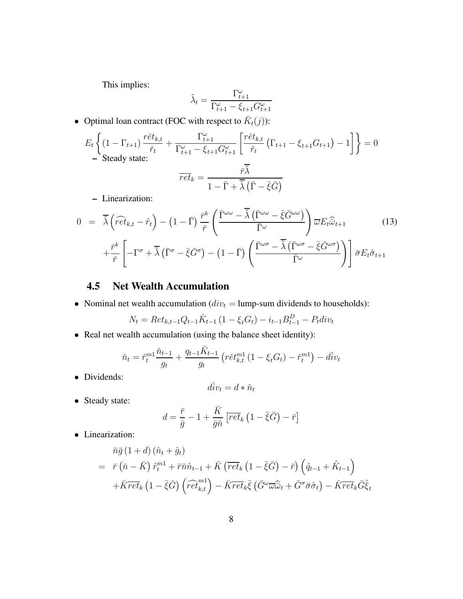This implies:

$$
\tilde{\lambda}_t = \frac{\Gamma_{t+1}^\omega}{\Gamma_{t+1}^\omega - \xi_{t+1} G_{t+1}^\omega}
$$

• Optimal loan contract (FOC with respect to  $\check{K}_t(j)$ ):

$$
E_{t}\left\{ (1-\Gamma_{t+1}) \frac{r\check{e}t_{k,t}}{\check{r}_{t}} + \frac{\Gamma_{t+1}^{\omega}}{\Gamma_{t+1}^{\omega} - \xi_{t+1}G_{t+1}^{\omega}} \left[ \frac{r\check{e}t_{k,t}}{\check{r}_{t}} \left( \Gamma_{t+1} - \xi_{t+1}G_{t+1} \right) - 1 \right] \right\} = 0
$$
  
— Steady state:  

$$
\overline{ret}_{k} = \frac{\overline{r}\overline{\tilde{\lambda}}}{1 - \overline{\Gamma} + \overline{\tilde{\lambda}} \left( \overline{\Gamma} - \overline{\xi}\overline{G} \right)}
$$

**–** Linearization:

$$
0 = \overline{\tilde{\lambda}} \left( \widehat{ret}_{k,t} - \hat{r}_t \right) - \left( 1 - \overline{\Gamma} \right) \frac{\overline{r}^k}{\overline{r}} \left( \frac{\overline{\Gamma}^{\omega \omega} - \overline{\tilde{\lambda}} \left( \overline{\Gamma}^{\omega \omega} - \overline{\xi} \overline{G}^{\omega \omega} \right)}{\overline{\Gamma}^{\omega}} \right) \overline{\omega} E_t \widehat{\omega}_{t+1} \qquad (13)
$$

$$
+ \frac{\overline{r}^k}{\overline{r}} \left[ -\Gamma^{\sigma} + \overline{\tilde{\lambda}} \left( \overline{\Gamma}^{\sigma} - \overline{\xi} \overline{G}^{\sigma} \right) - \left( 1 - \overline{\Gamma} \right) \left( \frac{\overline{\Gamma}^{\omega \sigma} - \overline{\tilde{\lambda}} \left( \overline{\Gamma}^{\omega \sigma} - \overline{\xi} \overline{G}^{\omega \sigma} \right)}{\overline{\Gamma}^{\omega}} \right) \right] \overline{\sigma} E_t \hat{\sigma}_{t+1} \qquad (14)
$$

### **4.5 Net Wealth Accumulation**

• Nominal net wealth accumulation ( $div_t =$  lump-sum dividends to households):

$$
N_t = Ret_{k,t-1}Q_{t-1}\check{K}_{t-1} (1 - \xi_t G_t) - i_{t-1}B_{t-1}^D - P_t div_t
$$

• Real net wealth accumulation (using the balance sheet identity):

$$
\check{n}_{t} = \check{r}_{t}^{m1} \frac{\check{n}_{t-1}}{g_{t}} + \frac{q_{t-1} \check{K}_{t-1}}{g_{t}} \left( r \check{e} t_{k,t}^{m1} \left( 1 - \xi_{t} G_{t} \right) - \check{r}_{t}^{m1} \right) - d \check{t} v_{t}
$$

• Dividends:

$$
d\check{i}v_t = d * \check{n}_t
$$

• Steady state:

$$
d = \frac{\bar{r}}{\bar{g}} - 1 + \frac{\bar{K}}{\bar{g}\bar{n}} \left[ \overline{ret}_k \left( 1 - \bar{\xi}\bar{G} \right) - \bar{r} \right]
$$

• Linearization:

$$
\bar{n}\bar{g}(1+d)(\hat{n}_t+\hat{g}_t) \n= \bar{r}(\bar{n}-\bar{K})\,\hat{r}_t^{m1}+\bar{r}\bar{n}\hat{n}_{t-1}+\bar{K}\left(\overline{ret}_k\left(1-\bar{\xi}\bar{G}\right)-\bar{r}\right)\left(\hat{q}_{t-1}+\hat{K}_{t-1}\right) \n+\bar{K}\overline{ret}_k\left(1-\bar{\xi}\bar{G}\right)\left(\widehat{ret}_{k,t}^{m1}\right)-\bar{K}\overline{ret}_k\bar{\xi}\left(\bar{G}^{\omega}\overline{\omega}\hat{\omega}_t+\bar{G}^{\sigma}\bar{\sigma}\hat{\sigma}_t\right)-\bar{K}\overline{ret}_k\bar{G}\hat{\xi}_t
$$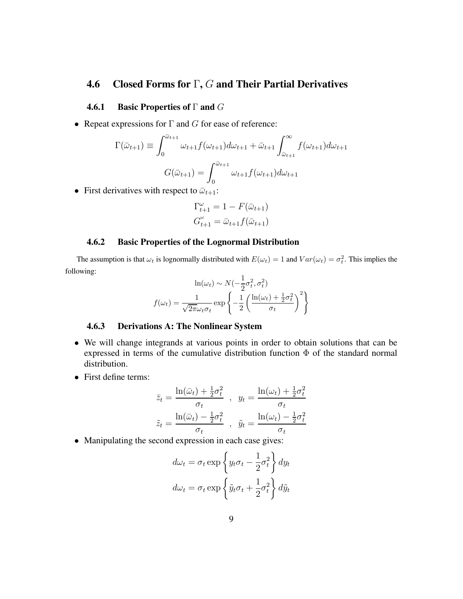## **4.6 Closed Forms for** Γ**,** G **and Their Partial Derivatives**

#### **4.6.1 Basic Properties of** Γ **and** G

• Repeat expressions for  $\Gamma$  and  $G$  for ease of reference:

$$
\Gamma(\bar{\omega}_{t+1}) \equiv \int_0^{\bar{\omega}_{t+1}} \omega_{t+1} f(\omega_{t+1}) d\omega_{t+1} + \bar{\omega}_{t+1} \int_{\bar{\omega}_{t+1}}^{\infty} f(\omega_{t+1}) d\omega_{t+1}
$$

$$
G(\bar{\omega}_{t+1}) = \int_0^{\bar{\omega}_{t+1}} \omega_{t+1} f(\omega_{t+1}) d\omega_{t+1}
$$

• First derivatives with respect to  $\bar{\omega}_{t+1}$ :

$$
\Gamma_{t+1}^{\omega} = 1 - F(\bar{\omega}_{t+1})
$$

$$
G_{t+1}^{\omega} = \bar{\omega}_{t+1} f(\bar{\omega}_{t+1})
$$

#### **4.6.2 Basic Properties of the Lognormal Distribution**

The assumption is that  $\omega_t$  is lognormally distributed with  $E(\omega_t) = 1$  and  $Var(\omega_t) = \sigma_t^2$ . This implies the following:

$$
\ln(\omega_t) \sim N(-\frac{1}{2}\sigma_t^2, \sigma_t^2)
$$

$$
f(\omega_t) = \frac{1}{\sqrt{2\pi}\omega_t\sigma_t} \exp\left\{-\frac{1}{2}\left(\frac{\ln(\omega_t) + \frac{1}{2}\sigma_t^2}{\sigma_t}\right)^2\right\}
$$

#### **4.6.3 Derivations A: The Nonlinear System**

- We will change integrands at various points in order to obtain solutions that can be expressed in terms of the cumulative distribution function Φ of the standard normal distribution.
- First define terms:

$$
\bar{z}_t = \frac{\ln(\bar{\omega}_t) + \frac{1}{2}\sigma_t^2}{\sigma_t}, \quad y_t = \frac{\ln(\omega_t) + \frac{1}{2}\sigma_t^2}{\sigma_t}
$$

$$
\tilde{z}_t = \frac{\ln(\bar{\omega}_t) - \frac{1}{2}\sigma_t^2}{\sigma_t}, \quad \tilde{y}_t = \frac{\ln(\omega_t) - \frac{1}{2}\sigma_t^2}{\sigma_t}
$$

• Manipulating the second expression in each case gives:

$$
d\omega_t = \sigma_t \exp\left\{y_t \sigma_t - \frac{1}{2} \sigma_t^2\right\} dy_t
$$
  

$$
d\omega_t = \sigma_t \exp\left\{\tilde{y}_t \sigma_t + \frac{1}{2} \sigma_t^2\right\} d\tilde{y}_t
$$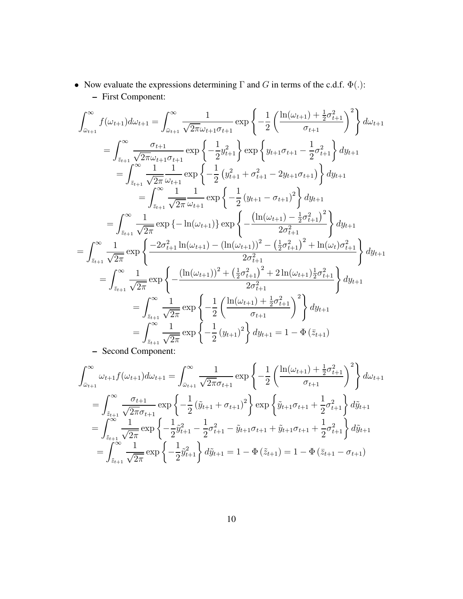• Now evaluate the expressions determining  $\Gamma$  and  $G$  in terms of the c.d.f.  $\Phi(.)$ : **–** First Component:

$$
\int_{\tilde{\omega}_{t+1}}^{\infty} f(\omega_{t+1}) d\omega_{t+1} = \int_{\tilde{\omega}_{t+1}}^{\infty} \frac{1}{\sqrt{2\pi}\omega_{t+1}\sigma_{t+1}} \exp\left\{-\frac{1}{2} \left(\frac{\ln(\omega_{t+1}) + \frac{1}{2}\sigma_{t+1}^{2}}{\sigma_{t+1}}\right)^{2}\right\} d\omega_{t+1}
$$
\n
$$
= \int_{\tilde{z}_{t+1}}^{\infty} \frac{\sigma_{t+1}}{\sqrt{2\pi}\omega_{t+1}\sigma_{t+1}} \exp\left\{-\frac{1}{2}y_{t+1}^{2}\right\} \exp\left\{y_{t+1}\sigma_{t+1} - \frac{1}{2}\sigma_{t+1}^{2}\right\} dy_{t+1}
$$
\n
$$
= \int_{\tilde{z}_{t+1}}^{\infty} \frac{1}{\sqrt{2\pi}} \frac{1}{\omega_{t+1}} \exp\left\{-\frac{1}{2} \left(y_{t+1}^{2} + \sigma_{t+1}^{2} - 2y_{t+1}\sigma_{t+1}\right)\right\} dy_{t+1}
$$
\n
$$
= \int_{\tilde{z}_{t+1}}^{\infty} \frac{1}{\sqrt{2\pi}} \exp\left\{-\ln(\omega_{t+1})\right\} \exp\left\{-\frac{\left(\ln(\omega_{t+1}) - \frac{1}{2}\sigma_{t+1}^{2}\right)^{2}}{2\sigma_{t+1}^{2}}\right\} dy_{t+1}
$$
\n
$$
= \int_{\tilde{z}_{t+1}}^{\infty} \frac{1}{\sqrt{2\pi}} \exp\left\{-\frac{\ln(\omega_{t+1}) - \frac{1}{2}\sigma_{t+1}^{2}}{2\sigma_{t+1}^{2}}\right\} dy_{t+1}
$$
\n
$$
= \int_{\tilde{z}_{t+1}}^{\infty} \frac{1}{\sqrt{2\pi}} \exp\left\{-\frac{\left(\ln(\omega_{t+1}) - \left(\ln(\omega_{t+1})\right)^{2} - \left(\frac{1}{2}\sigma_{t+1}^{2}\right)^{2} + \ln(\omega_{t})\sigma_{t+1}^{2}}{2\sigma_{t+1}^{2}}\right\} dy_{t+1}
$$
\n
$$
= \int_{\tilde{z}_{
$$

**–** Second Component:

$$
\int_{\bar{\omega}_{t+1}}^{\infty} \omega_{t+1} f(\omega_{t+1}) d\omega_{t+1} = \int_{\bar{\omega}_{t+1}}^{\infty} \frac{1}{\sqrt{2\pi} \sigma_{t+1}} \exp\left\{-\frac{1}{2} \left(\frac{\ln(\omega_{t+1}) + \frac{1}{2} \sigma_{t+1}^2}{\sigma_{t+1}}\right)^2\right\} d\omega_{t+1}
$$
  
\n
$$
= \int_{\tilde{z}_{t+1}}^{\infty} \frac{\sigma_{t+1}}{\sqrt{2\pi} \sigma_{t+1}} \exp\left\{-\frac{1}{2} (\tilde{y}_{t+1} + \sigma_{t+1})^2\right\} \exp\left\{\tilde{y}_{t+1} \sigma_{t+1} + \frac{1}{2} \sigma_{t+1}^2\right\} d\tilde{y}_{t+1}
$$
  
\n
$$
= \int_{\tilde{z}_{t+1}}^{\infty} \frac{1}{\sqrt{2\pi}} \exp\left\{-\frac{1}{2} \tilde{y}_{t+1}^2 - \frac{1}{2} \sigma_{t+1}^2 - \tilde{y}_{t+1} \sigma_{t+1} + \tilde{y}_{t+1} \sigma_{t+1} + \frac{1}{2} \sigma_{t+1}^2\right\} d\tilde{y}_{t+1}
$$
  
\n
$$
= \int_{\tilde{z}_{t+1}}^{\infty} \frac{1}{\sqrt{2\pi}} \exp\left\{-\frac{1}{2} \tilde{y}_{t+1}^2\right\} d\tilde{y}_{t+1} = 1 - \Phi(\tilde{z}_{t+1}) = 1 - \Phi(\tilde{z}_{t+1} - \sigma_{t+1})
$$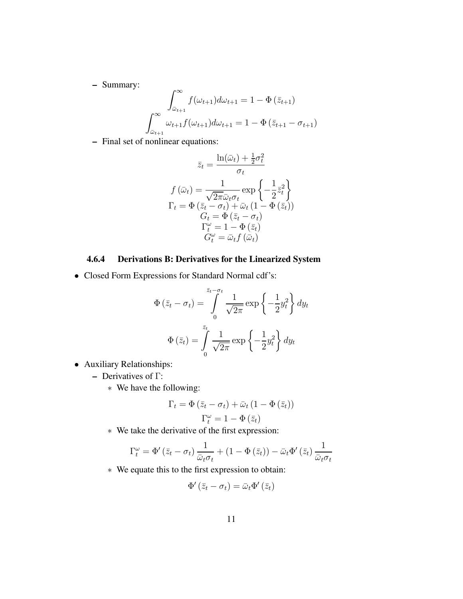**–** Summary:

$$
\int_{\bar{\omega}_{t+1}}^{\infty} f(\omega_{t+1}) d\omega_{t+1} = 1 - \Phi(\bar{z}_{t+1})
$$

$$
\int_{\bar{\omega}_{t+1}}^{\infty} \omega_{t+1} f(\omega_{t+1}) d\omega_{t+1} = 1 - \Phi(\bar{z}_{t+1} - \sigma_{t+1})
$$

**–** Final set of nonlinear equations:

$$
\bar{z}_t = \frac{\ln(\bar{\omega}_t) + \frac{1}{2}\sigma_t^2}{\sigma_t}
$$

$$
f(\bar{\omega}_t) = \frac{1}{\sqrt{2\pi}\bar{\omega}_t\sigma_t} \exp\left\{-\frac{1}{2}\bar{z}_t^2\right\}
$$

$$
\Gamma_t = \Phi\left(\bar{z}_t - \sigma_t\right) + \bar{\omega}_t \left(1 - \Phi\left(\bar{z}_t\right)\right)
$$

$$
G_t = \Phi\left(\bar{z}_t - \sigma_t\right)
$$

$$
\Gamma_t^{\omega} = 1 - \Phi\left(\bar{z}_t\right)
$$

$$
G_t^{\omega} = \bar{\omega}_t f\left(\bar{\omega}_t\right)
$$

## **4.6.4 Derivations B: Derivatives for the Linearized System**

• Closed Form Expressions for Standard Normal cdf's:

$$
\Phi\left(\bar{z}_t - \sigma_t\right) = \int_0^{\bar{z}_t - \sigma_t} \frac{1}{\sqrt{2\pi}} \exp\left\{-\frac{1}{2}y_t^2\right\} dy_t
$$

$$
\Phi\left(\bar{z}_t\right) = \int_0^{\bar{z}_t} \frac{1}{\sqrt{2\pi}} \exp\left\{-\frac{1}{2}y_t^2\right\} dy_t
$$

- Auxiliary Relationships:
	- **–** Derivatives of Γ:
		- ∗ We have the following:

$$
\Gamma_t = \Phi(\bar{z}_t - \sigma_t) + \bar{\omega}_t (1 - \Phi(\bar{z}_t))
$$

$$
\Gamma_t^{\omega} = 1 - \Phi(\bar{z}_t)
$$

∗ We take the derivative of the first expression:

$$
\Gamma^\omega_t = \Phi'(\bar{z}_t - \sigma_t) \frac{1}{\bar{\omega}_t \sigma_t} + (1 - \Phi(\bar{z}_t)) - \bar{\omega}_t \Phi'(\bar{z}_t) \frac{1}{\bar{\omega}_t \sigma_t}
$$

∗ We equate this to the first expression to obtain:

$$
\Phi'\left(\bar{z}_t-\sigma_t\right)=\bar{\omega}_t\Phi'\left(\bar{z}_t\right)
$$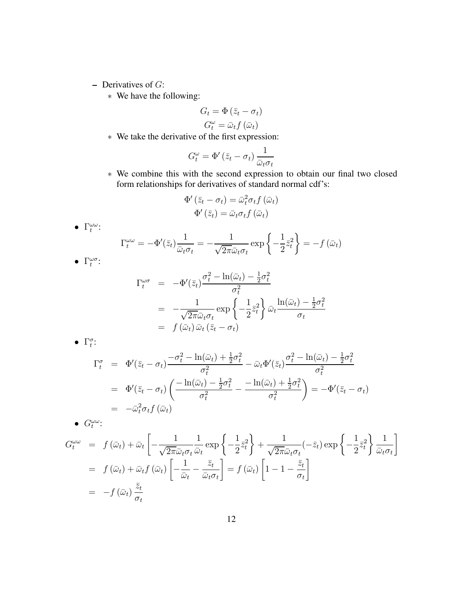- **–** Derivatives of G:
	- ∗ We have the following:

$$
G_t = \Phi(\bar{z}_t - \sigma_t)
$$

$$
G_t^{\omega} = \bar{\omega}_t f(\bar{\omega}_t)
$$

∗ We take the derivative of the first expression:

$$
G_t^{\omega} = \Phi'(\bar{z}_t - \sigma_t) \frac{1}{\bar{\omega}_t \sigma_t}
$$

∗ We combine this with the second expression to obtain our final two closed form relationships for derivatives of standard normal cdf's:

$$
\Phi'(\bar{z}_t - \sigma_t) = \bar{\omega}_t^2 \sigma_t f(\bar{\omega}_t)
$$

$$
\Phi'(\bar{z}_t) = \bar{\omega}_t \sigma_t f(\bar{\omega}_t)
$$

•  $\Gamma_t^{\omega \omega}$ :

$$
\Gamma_t^{\omega\omega} = -\Phi'(\bar{z}_t) \frac{1}{\bar{\omega}_t \sigma_t} = -\frac{1}{\sqrt{2\pi} \bar{\omega}_t \sigma_t} \exp\left\{-\frac{1}{2}\bar{z}_t^2\right\} = -f(\bar{\omega}_t)
$$

•  $\Gamma_t^{\omega \sigma}$ :

$$
\Gamma_t^{\omega\sigma} = -\Phi'(\bar{z}_t) \frac{\sigma_t^2 - \ln(\bar{\omega}_t) - \frac{1}{2}\sigma_t^2}{\sigma_t^2}
$$
  
= 
$$
-\frac{1}{\sqrt{2\pi\bar{\omega}_t\sigma_t}} \exp\left\{-\frac{1}{2}\bar{z}_t^2\right\} \bar{\omega}_t \frac{\ln(\bar{\omega}_t) - \frac{1}{2}\sigma_t^2}{\sigma_t}
$$
  
= 
$$
f(\bar{\omega}_t) \bar{\omega}_t (\bar{z}_t - \sigma_t)
$$

•  $\Gamma_t^{\sigma}$ :

$$
\Gamma_t^{\sigma} = \Phi'(\bar{z}_t - \sigma_t) \frac{-\sigma_t^2 - \ln(\bar{\omega}_t) + \frac{1}{2}\sigma_t^2}{\sigma_t^2} - \bar{\omega}_t \Phi'(\bar{z}_t) \frac{\sigma_t^2 - \ln(\bar{\omega}_t) - \frac{1}{2}\sigma_t^2}{\sigma_t^2}
$$
\n
$$
= \Phi'(\bar{z}_t - \sigma_t) \left( \frac{-\ln(\bar{\omega}_t) - \frac{1}{2}\sigma_t^2}{\sigma_t^2} - \frac{-\ln(\bar{\omega}_t) + \frac{1}{2}\sigma_t^2}{\sigma_t^2} \right) = -\Phi'(\bar{z}_t - \sigma_t)
$$
\n
$$
= -\bar{\omega}_t^2 \sigma_t f(\bar{\omega}_t)
$$

•  $G_t^{\omega \omega}$ :

$$
G_t^{\omega\omega} = f(\bar{\omega}_t) + \bar{\omega}_t \left[ -\frac{1}{\sqrt{2\pi}\bar{\omega}_t \sigma_t} \frac{1}{\bar{\omega}_t} \exp\left\{-\frac{1}{2}\bar{z}_t^2\right\} + \frac{1}{\sqrt{2\pi}\bar{\omega}_t \sigma_t} (-\bar{z}_t) \exp\left\{-\frac{1}{2}\bar{z}_t^2\right\} \frac{1}{\bar{\omega}_t \sigma_t} \right]
$$
  
=  $f(\bar{\omega}_t) + \bar{\omega}_t f(\bar{\omega}_t) \left[ -\frac{1}{\bar{\omega}_t} - \frac{\bar{z}_t}{\bar{\omega}_t \sigma_t} \right] = f(\bar{\omega}_t) \left[ 1 - 1 - \frac{\bar{z}_t}{\sigma_t} \right]$   
=  $-f(\bar{\omega}_t) \frac{\bar{z}_t}{\sigma_t}$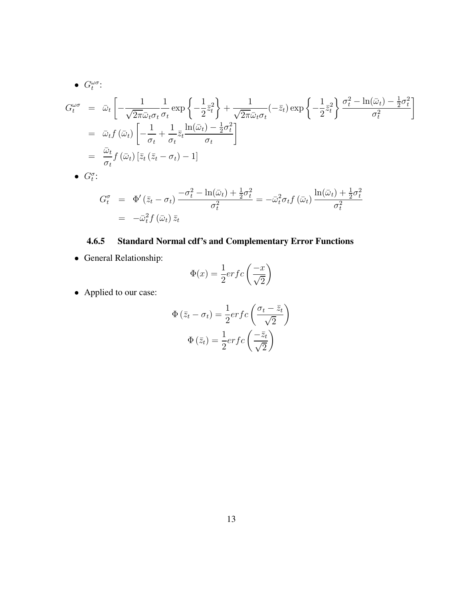• 
$$
G_t^{\omega\sigma}
$$
:  
\n
$$
G_t^{\omega\sigma} = \bar{\omega}_t \left[ -\frac{1}{\sqrt{2\pi} \bar{\omega}_t \sigma_t} \frac{1}{\sigma_t} \exp\left\{ -\frac{1}{2} \bar{z}_t^2 \right\} + \frac{1}{\sqrt{2\pi} \bar{\omega}_t \sigma_t} (-\bar{z}_t) \exp\left\{ -\frac{1}{2} \bar{z}_t^2 \right\} \frac{\sigma_t^2 - \ln(\bar{\omega}_t) - \frac{1}{2} \sigma_t^2}{\sigma_t^2} \right]
$$
\n
$$
= \bar{\omega}_t f(\bar{\omega}_t) \left[ -\frac{1}{\sigma_t} + \frac{1}{\sigma_t} \bar{z}_t \frac{\ln(\bar{\omega}_t) - \frac{1}{2} \sigma_t^2}{\sigma_t} \right]
$$
\n
$$
= \frac{\bar{\omega}_t}{\sigma_t} f(\bar{\omega}_t) \left[ \bar{z}_t (\bar{z}_t - \sigma_t) - 1 \right]
$$
\n•  $G_t^{\sigma}$ :

$$
G_t^{\sigma} = \Phi'(\bar{z}_t - \sigma_t) \frac{-\sigma_t^2 - \ln(\bar{\omega}_t) + \frac{1}{2}\sigma_t^2}{\sigma_t^2} = -\bar{\omega}_t^2 \sigma_t f(\bar{\omega}_t) \frac{\ln(\bar{\omega}_t) + \frac{1}{2}\sigma_t^2}{\sigma_t^2}
$$

$$
= -\bar{\omega}_t^2 f(\bar{\omega}_t) \bar{z}_t
$$

## **4.6.5 Standard Normal cdf's and Complementary Error Functions**

• General Relationship:

$$
\Phi(x) = \frac{1}{2} erfc\left(\frac{-x}{\sqrt{2}}\right)
$$

• Applied to our case:

$$
\Phi\left(\bar{z}_t - \sigma_t\right) = \frac{1}{2} erfc\left(\frac{\sigma_t - \bar{z}_t}{\sqrt{2}}\right)
$$

$$
\Phi\left(\bar{z}_t\right) = \frac{1}{2} erfc\left(\frac{-\bar{z}_t}{\sqrt{2}}\right)
$$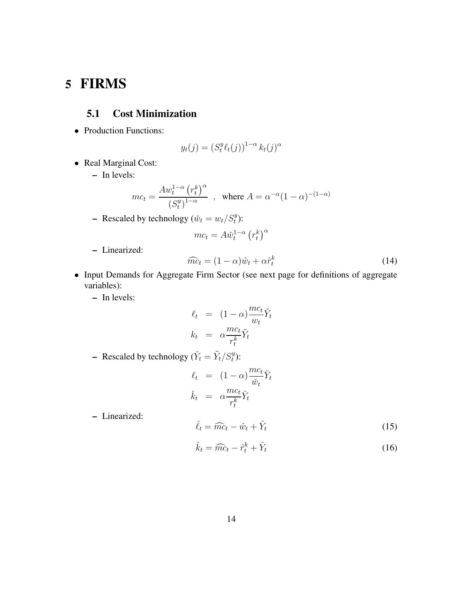# **5 FIRMS**

## **5.1 Cost Minimization**

• Production Functions:

$$
y_t(j) = (S_t^y \ell_t(j))^{1-\alpha} k_t(j)^{\alpha}
$$

- Real Marginal Cost:
	- **–** In levels:

$$
mc_t = \frac{A w_t^{1-\alpha} (r_t^k)^{\alpha}}{(S_t^y)^{1-\alpha}} \quad , \quad \text{where } A = \alpha^{-\alpha} (1-\alpha)^{-(1-\alpha)}
$$

- Rescaled by technology 
$$
(\check{w}_t = w_t / S_t^y)
$$
:

$$
mc_t = A\check{w}_t^{1-\alpha} (r_t^k)^{\alpha}
$$

**–** Linearized:

$$
\widehat{mc}_t = (1 - \alpha)\widehat{w}_t + \alpha \widehat{r}_t^k \tag{14}
$$

- Input Demands for Aggregate Firm Sector (see next page for definitions of aggregate variables):
	- **–** In levels:

$$
\ell_t = (1 - \alpha) \frac{mc_t}{w_t} \tilde{Y}_t
$$
\n
$$
k_t = \alpha \frac{mc_t}{r_t^k} \tilde{Y}_t
$$

- Rescaled by technology ( $\check{Y}_t = \tilde{Y}_t/S_t^y$ ):

$$
\ell_t = (1 - \alpha) \frac{mc_t}{\check{w}_t} \check{Y}_t
$$

$$
\check{k}_t = \alpha \frac{mc_t}{r_t^k} \check{Y}_t
$$

**–** Linearized:

$$
\hat{\ell}_t = \widehat{mc}_t - \hat{w}_t + \hat{Y}_t \tag{15}
$$

$$
\hat{k}_t = \widehat{mc}_t - \hat{r}_t^k + \hat{Y}_t \tag{16}
$$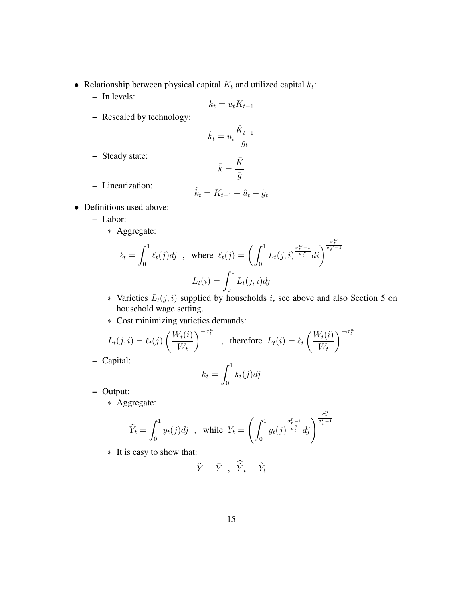- Relationship between physical capital  $K_t$  and utilized capital  $k_t$ :
	- **–** In levels:

$$
k_t = u_t K_{t-1}
$$

**–** Rescaled by technology:

$$
\check{k}_t = u_t \frac{\check{K}_{t-1}}{g_t}
$$

**–** Steady state:

$$
\bar{k}=\frac{\bar{K}}{\bar{g}}
$$

**–** Linearization:

$$
\hat{k}_t = \hat{K}_{t-1} + \hat{u}_t - \hat{g}_t
$$

- Definitions used above:
	- **–** Labor:
		- ∗ Aggregate:

$$
\ell_t = \int_0^1 \ell_t(j)dj \quad , \text{ where } \ell_t(j) = \left(\int_0^1 L_t(j,i)^{\frac{\sigma_t^w - 1}{\sigma_t^w}}di\right)^{\frac{\sigma_t^w}{\sigma_t^w - 1}}
$$

$$
L_t(i) = \int_0^1 L_t(j,i)dj
$$

- \* Varieties  $L_t(j, i)$  supplied by households i, see above and also Section 5 on household wage setting.
- ∗ Cost minimizing varieties demands:

$$
L_t(j, i) = \ell_t(j) \left(\frac{W_t(i)}{W_t}\right)^{-\sigma_t^w}, \text{ therefore } L_t(i) = \ell_t \left(\frac{W_t(i)}{W_t}\right)^{-\sigma_t^w}
$$

**–** Capital:

$$
k_t = \int_0^1 k_t(j) \, dj
$$

- **–** Output:
	- ∗ Aggregate:

$$
\tilde{Y}_t = \int_0^1 y_t(j)dj \quad \text{while} \ \ Y_t = \left(\int_0^1 y_t(j)^{\frac{\sigma_t^p - 1}{\sigma_t^p}}dj\right)^{\frac{\sigma_t^p}{\sigma_t^p - 1}}
$$

∗ It is easy to show that:

$$
\overline{\tilde{Y}} = \overline{Y} , \quad \widehat{\tilde{Y}}_t = \hat{Y}_t
$$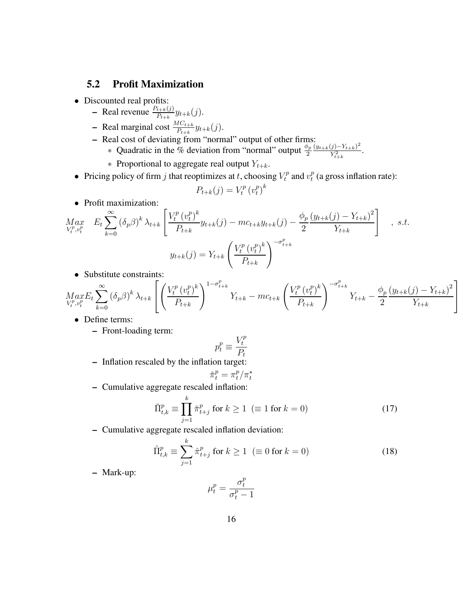### **5.2 Profit Maximization**

- Discounted real profits:
	- $\blacksquare$  Real revenue  $\frac{P_{t+k}(j)}{P_{t+k}}y_{t+k}(j)$ .
	- **–** Real marginal cost  $\frac{MC_{t+k}}{P_{t+k}}y_{t+k}(j)$ .
	- **–** Real cost of deviating from "normal" output of other firms:
		- ∗ Quadratic in the % deviation from "normal" output  $\frac{\phi_p}{2}$  $(y_{t+k}(j)-Y_{t+k})^2$  $\frac{y^{(t)} - Y_{t+k}}{Y_{t+k}^2}$ .
		- ∗ Proportional to aggregate real output  $Y_{t+k}$ .
- Pricing policy of firm *j* that reoptimizes at *t*, choosing  $V_t^p$  and  $v_t^p$  $t^{p}$  (a gross inflation rate):

$$
P_{t+k}(j) = V_t^p (v_t^p)^k
$$

• Profit maximization:

$$
Max_{V_t^p, v_t^p} E_t \sum_{k=0}^{\infty} (\delta_p \beta)^k \lambda_{t+k} \left[ \frac{V_t^p (v_t^p)^k}{P_{t+k}} y_{t+k}(j) - mc_{t+k} y_{t+k}(j) - \frac{\phi_p (y_{t+k}(j) - Y_{t+k})^2}{2} \right], \quad s.t.
$$
  

$$
y_{t+k}(j) = Y_{t+k} \left( \frac{V_t^p (v_t^p)^k}{P_{t+k}} \right)^{-\sigma_{t+k}^p}
$$

• Substitute constraints:

$$
Max_{V_t^p, v_t^p} E_t \sum_{k=0}^{\infty} (\delta_p \beta)^k \lambda_{t+k} \left[ \left( \frac{V_t^p (v_t^p)^k}{P_{t+k}} \right)^{1-\sigma_{t+k}^p} Y_{t+k} - mc_{t+k} \left( \frac{V_t^p (v_t^p)^k}{P_{t+k}} \right)^{-\sigma_{t+k}^p} Y_{t+k} - \frac{\phi_p (y_{t+k}(j) - Y_{t+k})^2}{2} \right]
$$

- Define terms:
	- **–** Front-loading term:

$$
p_t^p \equiv \frac{V_t^p}{P_t}
$$

**–** Inflation rescaled by the inflation target:

$$
\check{\pi}_t^p = \pi_t^p / \pi_t^*
$$

**–** Cumulative aggregate rescaled inflation:

$$
\check{\Pi}_{t,k}^p \equiv \prod_{j=1}^k \check{\pi}_{t+j}^p \text{ for } k \ge 1 \ (\equiv 1 \text{ for } k = 0)
$$
\n
$$
(17)
$$

**–** Cumulative aggregate rescaled inflation deviation:

$$
\hat{\Pi}_{t,k}^p \equiv \sum_{j=1}^k \hat{\pi}_{t+j}^p \text{ for } k \ge 1 \ \ (\equiv 0 \text{ for } k = 0)
$$
\n(18)

**–** Mark-up:

$$
\mu_t^p = \frac{\sigma_t^p}{\sigma_t^p - 1}
$$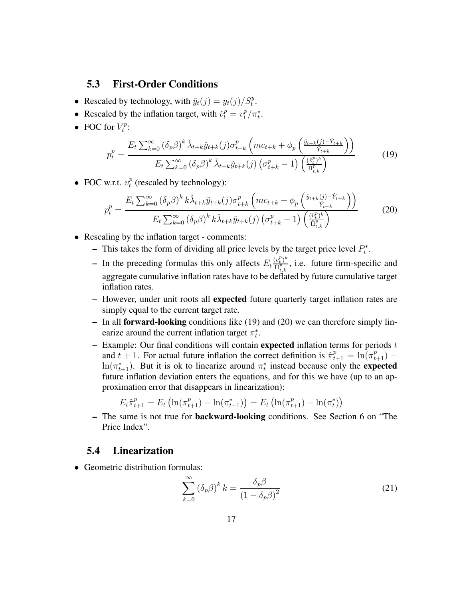#### **5.3 First-Order Conditions**

- Rescaled by technology, with  $\tilde{y}_t(j) = y_t(j)/S_t^y$ .
- Rescaled by the inflation target, with  $\tilde{v}_t^p = v_t^p / \pi_t^*$ .
- FOC for  $V_t^p$  $\substack{rp \cdot t$

$$
p_t^p = \frac{E_t \sum_{k=0}^{\infty} (\delta_p \beta)^k \check{\lambda}_{t+k} \check{y}_{t+k}(j) \sigma_{t+k}^p \left( mc_{t+k} + \phi_p \left( \frac{\check{y}_{t+k}(j) - \check{Y}_{t+k}}{\check{Y}_{t+k}} \right) \right)}{E_t \sum_{k=0}^{\infty} (\delta_p \beta)^k \check{\lambda}_{t+k} \check{y}_{t+k}(j) \left( \sigma_{t+k}^p - 1 \right) \left( \frac{\check{v}_{t}^p \check{y}_{t}}{\check{\Pi}_{t,k}^p} \right)}
$$
(19)

• FOC w.r.t.  $v_t^p$  $t<sup>p</sup>$  (rescaled by technology):

$$
p_t^p = \frac{E_t \sum_{k=0}^{\infty} (\delta_p \beta)^k k \check{\lambda}_{t+k} \check{y}_{t+k}(j) \sigma_{t+k}^p \left( mc_{t+k} + \phi_p \left( \frac{\check{y}_{t+k}(j) - \check{Y}_{t+k}}{\check{Y}_{t+k}} \right) \right)}{E_t \sum_{k=0}^{\infty} (\delta_p \beta)^k k \check{\lambda}_{t+k} \check{y}_{t+k}(j) \left( \sigma_{t+k}^p - 1 \right) \left( \frac{(\check{v}_t^p)^k}{\check{\Pi}_{t,k}^p} \right)}
$$
(20)

- Rescaling by the inflation target comments:
	- This takes the form of dividing all price levels by the target price level  $P_t^*$ .
	- In the preceding formulas this only affects  $E_t \frac{(v_t^p)^k}{\prod_{i=1}^p}$  $\frac{v_t}{\Pi_{t,k}^p}$ , i.e. future firm-specific and aggregate cumulative inflation rates have to be deflated by future cumulative target inflation rates.
	- **–** However, under unit roots all **expected** future quarterly target inflation rates are simply equal to the current target rate.
	- **–** In all **forward-looking** conditions like (19) and (20) we can therefore simply linearize around the current inflation target  $\pi_t^*$ .
	- **–** Example: Our final conditions will contain **expected** inflation terms for periods t and  $t + 1$ . For actual future inflation the correct definition is  $\hat{\pi}_{t+1}^p = \ln(\pi_{t+1}^p) \ln(\pi_{t+1}^*)$ . But it is ok to linearize around  $\pi_t^*$  instead because only the **expected** future inflation deviation enters the equations, and for this we have (up to an approximation error that disappears in linearization):

$$
E_t \hat{\pi}_{t+1}^p = E_t \left( \ln(\pi_{t+1}^p) - \ln(\pi_{t+1}^*) \right) = E_t \left( \ln(\pi_{t+1}^p) - \ln(\pi_t^*) \right)
$$

**–** The same is not true for **backward-looking** conditions. See Section 6 on "The Price Index".

#### **5.4 Linearization**

• Geometric distribution formulas:

$$
\sum_{k=0}^{\infty} \left(\delta_p \beta\right)^k k = \frac{\delta_p \beta}{\left(1 - \delta_p \beta\right)^2} \tag{21}
$$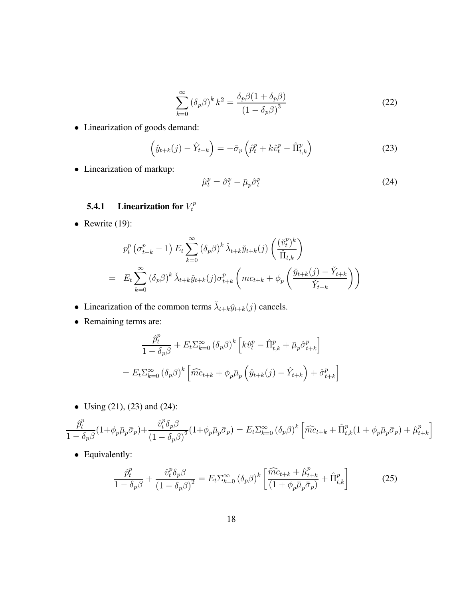$$
\sum_{k=0}^{\infty} \left(\delta_p \beta\right)^k k^2 = \frac{\delta_p \beta (1 + \delta_p \beta)}{\left(1 - \delta_p \beta\right)^3} \tag{22}
$$

• Linearization of goods demand:

$$
\left(\hat{y}_{t+k}(j) - \hat{Y}_{t+k}\right) = -\bar{\sigma}_p \left(\hat{p}_t^p + k\hat{v}_t^p - \hat{\Pi}_{t,k}^p\right)
$$
\n(23)

• Linearization of markup:

$$
\hat{\mu}_t^p = \hat{\sigma}_t^p - \bar{\mu}_p \hat{\sigma}_t^p \tag{24}
$$

#### **5.4.1** Linearization for  $V_t^p$ t

• Rewrite  $(19)$ :

$$
p_t^p \left(\sigma_{t+k}^p - 1\right) E_t \sum_{k=0}^{\infty} \left(\delta_p \beta\right)^k \tilde{\lambda}_{t+k} \tilde{y}_{t+k}(j) \left(\frac{(\tilde{v}_t^p)^k}{\tilde{\Pi}_{t,k}}\right)
$$
  
= 
$$
E_t \sum_{k=0}^{\infty} \left(\delta_p \beta\right)^k \tilde{\lambda}_{t+k} \tilde{y}_{t+k}(j) \sigma_{t+k}^p \left(mc_{t+k} + \phi_p \left(\frac{\tilde{y}_{t+k}(j) - \tilde{Y}_{t+k}}{\tilde{Y}_{t+k}}\right)\right)
$$

- Linearization of the common terms  $\lambda_{t+k} \check{y}_{t+k}(j)$  cancels.
- Remaining terms are:

$$
\frac{\hat{p}_t^p}{1 - \delta_p \beta} + E_t \Sigma_{k=0}^{\infty} (\delta_p \beta)^k \left[ k \hat{v}_t^p - \hat{\Pi}_{t,k}^p + \bar{\mu}_p \hat{\sigma}_{t+k}^p \right]
$$

$$
= E_t \Sigma_{k=0}^{\infty} (\delta_p \beta)^k \left[ \widehat{mc}_{t+k} + \phi_p \bar{\mu}_p \left( \hat{y}_{t+k}(j) - \hat{Y}_{t+k} \right) + \hat{\sigma}_{t+k}^p \right]
$$

• Using (21), (23) and (24):

$$
\frac{\hat{p}_t^p}{1 - \delta_p \beta} (1 + \phi_p \bar{\mu}_p \bar{\sigma}_p) + \frac{\hat{v}_t^p \delta_p \beta}{(1 - \delta_p \beta)^2} (1 + \phi_p \bar{\mu}_p \bar{\sigma}_p) = E_t \Sigma_{k=0}^{\infty} (\delta_p \beta)^k \left[ \widehat{mc}_{t+k} + \widehat{\Pi}_{t,k}^p (1 + \phi_p \bar{\mu}_p \bar{\sigma}_p) + \widehat{\mu}_{t+k}^p \right]
$$

• Equivalently:

$$
\frac{\hat{p}_t^p}{1 - \delta_p \beta} + \frac{\hat{v}_t^p \delta_p \beta}{\left(1 - \delta_p \beta\right)^2} = E_t \Sigma_{k=0}^{\infty} \left(\delta_p \beta\right)^k \left[\frac{\widehat{m c}_{t+k} + \hat{\mu}_{t+k}^p}{\left(1 + \phi_p \bar{\mu}_p \bar{\sigma}_p\right)} + \widehat{\Pi}_{t,k}^p\right]
$$
(25)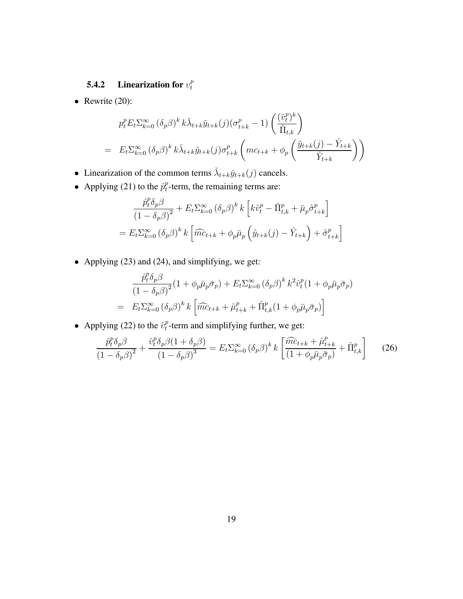#### **5.4.2** Linearization for  $v_t^p$ t

• Rewrite  $(20)$ :

$$
p_t^p E_t \Sigma_{k=0}^{\infty} (\delta_p \beta)^k k \check{\lambda}_{t+k} \check{y}_{t+k}(j) (\sigma_{t+k}^p - 1) \left( \frac{(\check{v}_t^p)^k}{\check{\Pi}_{t,k}} \right)
$$
  
= 
$$
E_t \Sigma_{k=0}^{\infty} (\delta_p \beta)^k k \check{\lambda}_{t+k} \check{y}_{t+k}(j) \sigma_{t+k}^p \left( mc_{t+k} + \phi_p \left( \frac{\check{y}_{t+k}(j) - \check{Y}_{t+k}}{\check{Y}_{t+k}} \right) \right)
$$

- Linearization of the common terms  $\lambda_{t+k} \check{y}_{t+k}(j)$  cancels.
- Applying (21) to the  $\hat{p}_t^p$  $t<sub>t</sub><sup>p</sup>$ -term, the remaining terms are:

$$
\frac{\hat{p}_t^p \delta_p \beta}{(1 - \delta_p \beta)^2} + E_t \Sigma_{k=0}^{\infty} (\delta_p \beta)^k k \left[ k \hat{v}_t^p - \hat{\Pi}_{t,k}^p + \bar{\mu}_p \hat{\sigma}_{t+k}^p \right]
$$

$$
= E_t \Sigma_{k=0}^{\infty} (\delta_p \beta)^k k \left[ \widehat{mc}_{t+k} + \phi_p \bar{\mu}_p \left( \hat{y}_{t+k}(j) - \hat{Y}_{t+k} \right) + \hat{\sigma}_{t+k}^p \right]
$$

• Applying (23) and (24), and simplifying, we get:

$$
\frac{\hat{p}_t^p \delta_p \beta}{(1 - \delta_p \beta)^2} (1 + \phi_p \bar{\mu}_p \bar{\sigma}_p) + E_t \Sigma_{k=0}^{\infty} (\delta_p \beta)^k k^2 \hat{v}_t^p (1 + \phi_p \bar{\mu}_p \bar{\sigma}_p)
$$

$$
= E_t \Sigma_{k=0}^{\infty} (\delta_p \beta)^k k \left[ \widehat{mc}_{t+k} + \widehat{\mu}_{t+k}^p + \widehat{\Pi}_{t,k}^p (1 + \phi_p \bar{\mu}_p \bar{\sigma}_p) \right]
$$

• Applying (22) to the  $\hat{v}_t^p$  $t<sub>t</sub><sup>p</sup>$ -term and simplifying further, we get:

$$
\frac{\hat{p}_t^p \delta_p \beta}{\left(1 - \delta_p \beta\right)^2} + \frac{\hat{v}_t^p \delta_p \beta (1 + \delta_p \beta)}{\left(1 - \delta_p \beta\right)^3} = E_t \Sigma_{k=0}^{\infty} \left(\delta_p \beta\right)^k k \left[\frac{\widehat{mc}_{t+k} + \hat{\mu}_{t+k}^p}{\left(1 + \phi_p \bar{\mu}_p \bar{\sigma}_p\right)} + \widehat{\Pi}_{t,k}^p\right] \tag{26}
$$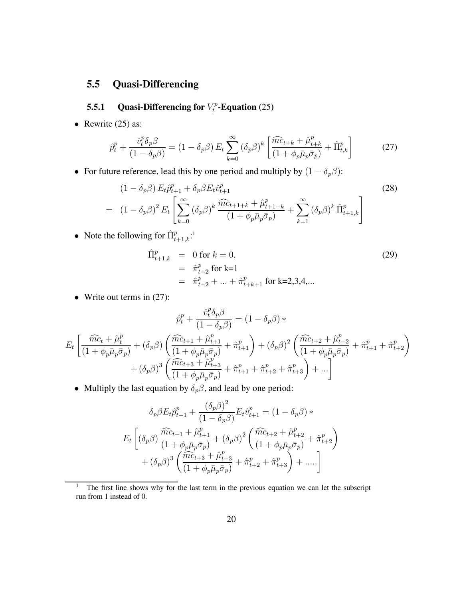## **5.5 Quasi-Differencing**

#### **5.5.1** Quasi-Differencing for  $V_t^p$  $t_t^{rp}$ **-Equation** (25)

• Rewrite  $(25)$  as:

$$
\hat{p}_t^p + \frac{\hat{v}_t^p \delta_p \beta}{(1 - \delta_p \beta)} = (1 - \delta_p \beta) E_t \sum_{k=0}^{\infty} (\delta_p \beta)^k \left[ \frac{\widehat{m c}_{t+k} + \widehat{\mu}_{t+k}^p}{(1 + \phi_p \bar{\mu}_p \bar{\sigma}_p)} + \widehat{\Pi}_{t,k}^p \right]
$$
(27)

• For future reference, lead this by one period and multiply by  $(1 - \delta_p \beta)$ :

$$
(1 - \delta_p \beta) E_t \hat{p}_{t+1}^p + \delta_p \beta E_t \hat{v}_{t+1}^p
$$
\n
$$
= (1 - \delta_p \beta)^2 E_t \left[ \sum_{k=0}^{\infty} (\delta_p \beta)^k \frac{\widehat{m c}_{t+1+k} + \widehat{\mu}_{t+1+k}^p}{(1 + \phi_p \bar{\mu}_p \bar{\sigma}_p)} + \sum_{k=1}^{\infty} (\delta_p \beta)^k \widehat{\Pi}_{t+1,k}^p \right]
$$
\n(28)

• Note the following for  $\hat{\Pi}_{t+1,k}^p$ :<sup>1</sup>

$$
\hat{\Pi}_{t+1,k}^p = 0 \text{ for } k = 0,
$$
\n
$$
= \hat{\pi}_{t+2}^p \text{ for } k=1
$$
\n
$$
= \hat{\pi}_{t+2}^p + ... + \hat{\pi}_{t+k+1}^p \text{ for } k=2,3,4,...
$$
\n(29)

• Write out terms in  $(27)$ :

$$
\hat{p}_t^p + \frac{\hat{v}_t^p \delta_p \beta}{(1 - \delta_p \beta)} = (1 - \delta_p \beta) * \nE_t \left[ \frac{\widehat{mc}_t + \hat{\mu}_t^p}{(1 + \phi_p \bar{\mu}_p \bar{\sigma}_p)} + (\delta_p \beta) \left( \frac{\widehat{mc}_{t+1} + \hat{\mu}_{t+1}^p}{(1 + \phi_p \bar{\mu}_p \bar{\sigma}_p)} + \hat{\pi}_{t+1}^p \right) + (\delta_p \beta)^2 \left( \frac{\widehat{mc}_{t+2} + \hat{\mu}_{t+2}^p}{(1 + \phi_p \bar{\mu}_p \bar{\sigma}_p)} + \hat{\pi}_{t+1}^p + \hat{\pi}_{t+2}^p \right) \n+ (\delta_p \beta)^3 \left( \frac{\widehat{mc}_{t+3} + \hat{\mu}_{t+3}^p}{(1 + \phi_p \bar{\mu}_p \bar{\sigma}_p)} + \hat{\pi}_{t+1}^p + \hat{\pi}_{t+2}^p + \hat{\pi}_{t+3}^p \right) + \dots \right]
$$

• Multiply the last equation by  $\delta_p \beta$ , and lead by one period:

$$
\delta_p \beta E_t \hat{p}_{t+1}^p + \frac{(\delta_p \beta)^2}{(1 - \delta_p \beta)} E_t \hat{v}_{t+1}^p = (1 - \delta_p \beta) * \nE_t \left[ (\delta_p \beta) \frac{\widehat{mc}_{t+1} + \hat{\mu}_{t+1}^p}{(1 + \phi_p \bar{\mu}_p \bar{\sigma}_p)} + (\delta_p \beta)^2 \left( \frac{\widehat{mc}_{t+2} + \hat{\mu}_{t+2}^p}{(1 + \phi_p \bar{\mu}_p \bar{\sigma}_p)} + \hat{\pi}_{t+2}^p \right) \n+ (\delta_p \beta)^3 \left( \frac{\widehat{mc}_{t+3} + \hat{\mu}_{t+3}^p}{(1 + \phi_p \bar{\mu}_p \bar{\sigma}_p)} + \hat{\pi}_{t+2}^p + \hat{\pi}_{t+3}^p \right) + \dots \right]
$$

<sup>&</sup>lt;sup>1</sup> The first line shows why for the last term in the previous equation we can let the subscript run from 1 instead of 0.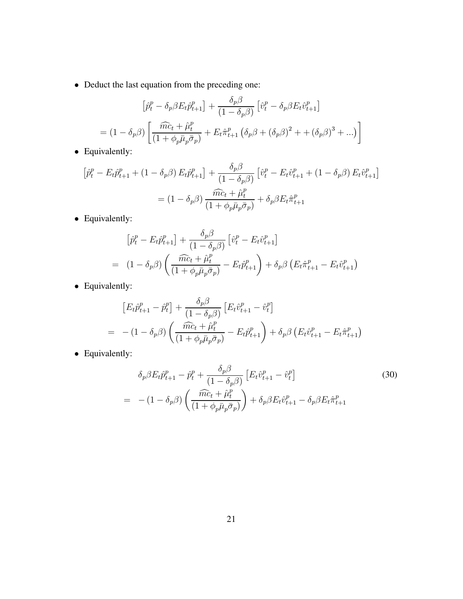• Deduct the last equation from the preceding one:

$$
\left[\hat{p}_t^p - \delta_p \beta E_t \hat{p}_{t+1}^p\right] + \frac{\delta_p \beta}{(1 - \delta_p \beta)} \left[\hat{v}_t^p - \delta_p \beta E_t \hat{v}_{t+1}^p\right]
$$

$$
= (1 - \delta_p \beta) \left[\frac{\widehat{m c_t} + \widehat{\mu}_t^p}{(1 + \phi_p \bar{\mu}_p \bar{\sigma}_p)} + E_t \hat{\pi}_{t+1}^p \left(\delta_p \beta + (\delta_p \beta)^2 + (\delta_p \beta)^3 + \ldots\right)\right]
$$

• Equivalently:

$$
\left[\hat{p}_t^p - E_t \hat{p}_{t+1}^p + (1 - \delta_p \beta) E_t \hat{p}_{t+1}^p\right] + \frac{\delta_p \beta}{(1 - \delta_p \beta)} \left[\hat{v}_t^p - E_t \hat{v}_{t+1}^p + (1 - \delta_p \beta) E_t \hat{v}_{t+1}^p\right]
$$

$$
= (1 - \delta_p \beta) \frac{\widehat{mc}_t + \hat{\mu}_t^p}{(1 + \phi_p \bar{\mu}_p \bar{\sigma}_p)} + \delta_p \beta E_t \hat{\pi}_{t+1}^p
$$

• Equivalently:

$$
\left[\hat{p}_t^p - E_t \hat{p}_{t+1}^p\right] + \frac{\delta_p \beta}{(1 - \delta_p \beta)} \left[\hat{v}_t^p - E_t \hat{v}_{t+1}^p\right]
$$
  
= 
$$
(1 - \delta_p \beta) \left(\frac{\widehat{mc}_t + \widehat{\mu}_t^p}{(1 + \phi_p \bar{\mu}_p \bar{\sigma}_p)} - E_t \widehat{p}_{t+1}^p\right) + \delta_p \beta \left(E_t \widehat{\pi}_{t+1}^p - E_t \widehat{v}_{t+1}^p\right)
$$

• Equivalently:

$$
\begin{aligned}\n\left[E_t \hat{p}_{t+1}^p - \hat{p}_t^p\right] + \frac{\delta_p \beta}{(1 - \delta_p \beta)} \left[E_t \hat{v}_{t+1}^p - \hat{v}_t^p\right] \\
= \ - (1 - \delta_p \beta) \left(\frac{\widehat{mc}_t + \hat{\mu}_t^p}{(1 + \phi_p \bar{\mu}_p \bar{\sigma}_p)} - E_t \hat{p}_{t+1}^p\right) + \delta_p \beta \left(E_t \hat{v}_{t+1}^p - E_t \hat{\pi}_{t+1}^p\right)\n\end{aligned}
$$

• Equivalently:

$$
\delta_p \beta E_t \hat{p}_{t+1}^p - \hat{p}_t^p + \frac{\delta_p \beta}{(1 - \delta_p \beta)} \left[ E_t \hat{v}_{t+1}^p - \hat{v}_t^p \right]
$$
\n
$$
= -(1 - \delta_p \beta) \left( \frac{\widehat{mc}_t + \hat{\mu}_t^p}{(1 + \phi_p \bar{\mu}_p \bar{\sigma}_p)} \right) + \delta_p \beta E_t \hat{v}_{t+1}^p - \delta_p \beta E_t \hat{\pi}_{t+1}^p
$$
\n(30)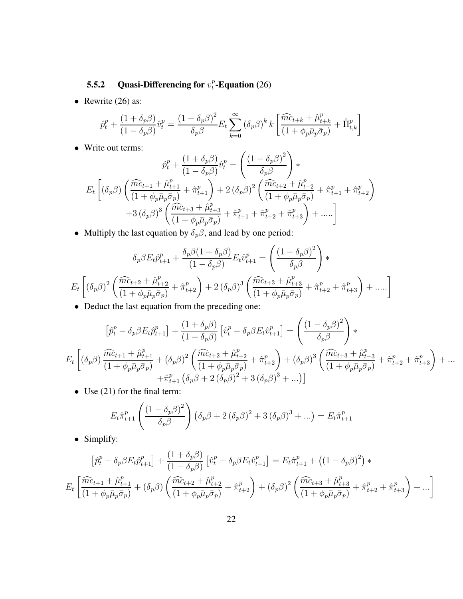#### **5.5.2** Quasi-Differencing for  $v_t^p$  $_{t}^{p}$ **-Equation** (26)

• Rewrite  $(26)$  as:

$$
\hat{p}_t^p + \frac{(1+\delta_p\beta)}{(1-\delta_p\beta)}\hat{v}_t^p = \frac{(1-\delta_p\beta)^2}{\delta_p\beta}E_t\sum_{k=0}^{\infty}(\delta_p\beta)^k k \left[\frac{\widehat{mc}_{t+k} + \widehat{\mu}_{t+k}^p}{(1+\phi_p\bar{\mu}_p\bar{\sigma}_p)} + \widehat{\Pi}_{t,k}^p\right]
$$

• Write out terms:

$$
\hat{p}_t^p + \frac{(1 + \delta_p \beta)}{(1 - \delta_p \beta)} \hat{v}_t^p = \left( \frac{(1 - \delta_p \beta)^2}{\delta_p \beta} \right) * \nE_t \left[ (\delta_p \beta) \left( \frac{\widehat{mc}_{t+1} + \hat{\mu}_{t+1}^p}{(1 + \phi_p \bar{\mu}_p \bar{\sigma}_p)} + \hat{\pi}_{t+1}^p \right) + 2 (\delta_p \beta)^2 \left( \frac{\widehat{mc}_{t+2} + \hat{\mu}_{t+2}^p}{(1 + \phi_p \bar{\mu}_p \bar{\sigma}_p)} + \hat{\pi}_{t+1}^p + \hat{\pi}_{t+2}^p \right) \n+ 3 (\delta_p \beta)^3 \left( \frac{\widehat{mc}_{t+3} + \hat{\mu}_{t+3}^p}{(1 + \phi_p \bar{\mu}_p \bar{\sigma}_p)} + \hat{\pi}_{t+1}^p + \hat{\pi}_{t+2}^p + \hat{\pi}_{t+3}^p \right) + \dots \right]
$$

• Multiply the last equation by  $\delta_p \beta$ , and lead by one period:

$$
\delta_p \beta E_t \hat{p}_{t+1}^p + \frac{\delta_p \beta (1 + \delta_p \beta)}{(1 - \delta_p \beta)} E_t \hat{v}_{t+1}^p = \left(\frac{(1 - \delta_p \beta)^2}{\delta_p \beta}\right) *
$$
  
\n
$$
E_t \left[ (\delta_p \beta)^2 \left( \frac{\widehat{m} c_{t+2} + \widehat{\mu}_{t+2}^p}{(1 + \phi_p \bar{\mu}_p \bar{\sigma}_p)} + \widehat{\pi}_{t+2}^p \right) + 2 (\delta_p \beta)^3 \left( \frac{\widehat{m} c_{t+3} + \widehat{\mu}_{t+3}^p}{(1 + \phi_p \bar{\mu}_p \bar{\sigma}_p)} + \widehat{\pi}_{t+2}^p + \widehat{\pi}_{t+3}^p \right) + \dots \right]
$$

• Deduct the last equation from the preceding one:

$$
\left[\hat{p}_{t}^{p} - \delta_{p}\beta E_{t}\hat{p}_{t+1}^{p}\right] + \frac{(1+\delta_{p}\beta)}{(1-\delta_{p}\beta)}\left[\hat{v}_{t}^{p} - \delta_{p}\beta E_{t}\hat{v}_{t+1}^{p}\right] = \left(\frac{(1-\delta_{p}\beta)^{2}}{\delta_{p}\beta}\right) * \nE_{t}\left[\left(\delta_{p}\beta\right)\frac{\widehat{mc}_{t+1} + \hat{\mu}_{t+1}^{p}}{(1+\phi_{p}\bar{\mu}_{p}\bar{\sigma}_{p})} + \left(\delta_{p}\beta\right)^{2}\left(\frac{\widehat{mc}_{t+2} + \hat{\mu}_{t+2}^{p}}{(1+\phi_{p}\bar{\mu}_{p}\bar{\sigma}_{p})} + \hat{\pi}_{t+2}^{p}\right) + \left(\delta_{p}\beta\right)^{3}\left(\frac{\widehat{mc}_{t+3} + \hat{\mu}_{t+3}^{p}}{(1+\phi_{p}\bar{\mu}_{p}\bar{\sigma}_{p})} + \hat{\pi}_{t+2}^{p} + \hat{\pi}_{t+3}^{p}\right) + \dots + \hat{\pi}_{t+1}^{p}\left(\delta_{p}\beta + 2\left(\delta_{p}\beta\right)^{2} + 3\left(\delta_{p}\beta\right)^{3} + \dots\right)
$$

• Use (21) for the final term:

$$
E_t \hat{\pi}_{t+1}^p \left( \frac{(1 - \delta_p \beta)^2}{\delta_p \beta} \right) (\delta_p \beta + 2 (\delta_p \beta)^2 + 3 (\delta_p \beta)^3 + \ldots) = E_t \hat{\pi}_{t+1}^p
$$

• Simplify:

$$
\left[\hat{p}_t^p - \delta_p \beta E_t \hat{p}_{t+1}^p\right] + \frac{(1 + \delta_p \beta)}{(1 - \delta_p \beta)} \left[\hat{v}_t^p - \delta_p \beta E_t \hat{v}_{t+1}^p\right] = E_t \hat{\pi}_{t+1}^p + \left((1 - \delta_p \beta)^2\right) *
$$
  

$$
E_t \left[\frac{\widehat{m c}_{t+1} + \hat{\mu}_{t+1}^p}{(1 + \phi_p \bar{\mu}_p \bar{\sigma}_p)} + (\delta_p \beta) \left(\frac{\widehat{m c}_{t+2} + \hat{\mu}_{t+2}^p}{(1 + \phi_p \bar{\mu}_p \bar{\sigma}_p)} + \hat{\pi}_{t+2}^p\right) + (\delta_p \beta)^2 \left(\frac{\widehat{m c}_{t+3} + \hat{\mu}_{t+3}^p}{(1 + \phi_p \bar{\mu}_p \bar{\sigma}_p)} + \hat{\pi}_{t+2}^p + \hat{\pi}_{t+3}^p\right) + \dots\right]
$$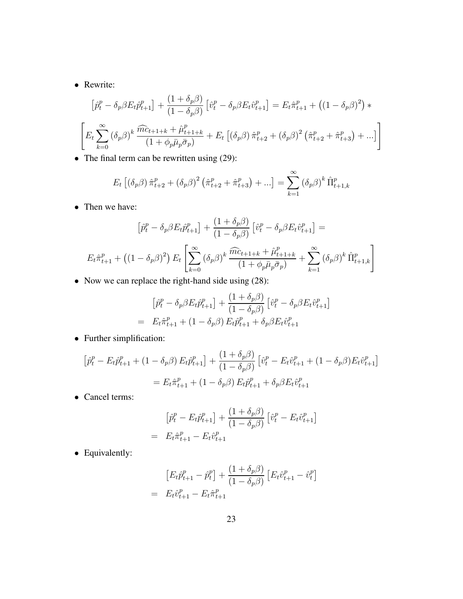• Rewrite:

$$
\left[\hat{p}_t^p - \delta_p \beta E_t \hat{p}_{t+1}^p\right] + \frac{(1 + \delta_p \beta)}{(1 - \delta_p \beta)} \left[\hat{v}_t^p - \delta_p \beta E_t \hat{v}_{t+1}^p\right] = E_t \hat{\pi}_{t+1}^p + \left((1 - \delta_p \beta)^2\right) * \left[E_t \sum_{k=0}^{\infty} (\delta_p \beta)^k \frac{\widehat{m c}_{t+1+k} + \hat{\mu}_{t+1+k}^p}{(1 + \phi_p \bar{\mu}_p \bar{\sigma}_p)} + E_t \left[(\delta_p \beta) \hat{\pi}_{t+2}^p + (\delta_p \beta)^2 \left(\hat{\pi}_{t+2}^p + \hat{\pi}_{t+3}^p\right) + ...\right]\right]
$$

• The final term can be rewritten using (29):

$$
E_t \left[ (\delta_p \beta) \hat{\pi}_{t+2}^p + (\delta_p \beta)^2 (\hat{\pi}_{t+2}^p + \hat{\pi}_{t+3}^p) + \ldots \right] = \sum_{k=1}^{\infty} (\delta_p \beta)^k \hat{\Pi}_{t+1,k}^p
$$

• Then we have:

$$
\left[\hat{p}_t^p - \delta_p \beta E_t \hat{p}_{t+1}^p\right] + \frac{(1 + \delta_p \beta)}{(1 - \delta_p \beta)} \left[\hat{v}_t^p - \delta_p \beta E_t \hat{v}_{t+1}^p\right] =
$$
  

$$
E_t \hat{\pi}_{t+1}^p + \left((1 - \delta_p \beta)^2\right) E_t \left[\sum_{k=0}^{\infty} (\delta_p \beta)^k \frac{\widehat{m c}_{t+1+k} + \hat{\mu}_{t+1+k}^p}{(1 + \phi_p \bar{\mu}_p \bar{\sigma}_p)} + \sum_{k=1}^{\infty} (\delta_p \beta)^k \hat{\Pi}_{t+1,k}^p\right]
$$

• Now we can replace the right-hand side using (28):

$$
\begin{aligned}\n\left[\hat{p}_t^p - \delta_p \beta E_t \hat{p}_{t+1}^p\right] + \frac{(1 + \delta_p \beta)}{(1 - \delta_p \beta)} \left[\hat{v}_t^p - \delta_p \beta E_t \hat{v}_{t+1}^p\right] \\
= E_t \hat{\pi}_{t+1}^p + (1 - \delta_p \beta) E_t \hat{p}_{t+1}^p + \delta_p \beta E_t \hat{v}_{t+1}^p\n\end{aligned}
$$

• Further simplification:

$$
\left[\hat{p}_t^p - E_t \hat{p}_{t+1}^p + (1 - \delta_p \beta) E_t \hat{p}_{t+1}^p\right] + \frac{(1 + \delta_p \beta)}{(1 - \delta_p \beta)} \left[\hat{v}_t^p - E_t \hat{v}_{t+1}^p + (1 - \delta_p \beta) E_t \hat{v}_{t+1}^p\right]
$$

$$
= E_t \hat{\pi}_{t+1}^p + (1 - \delta_p \beta) E_t \hat{p}_{t+1}^p + \delta_p \beta E_t \hat{v}_{t+1}^p
$$

• Cancel terms:

$$
\left[\hat{p}_t^p - E_t \hat{p}_{t+1}^p\right] + \frac{(1 + \delta_p \beta)}{(1 - \delta_p \beta)} \left[\hat{v}_t^p - E_t \hat{v}_{t+1}^p\right]
$$

$$
= E_t \hat{\pi}_{t+1}^p - E_t \hat{v}_{t+1}^p
$$

• Equivalently:

$$
[E_t \hat{p}_{t+1}^p - \hat{p}_t^p] + \frac{(1 + \delta_p \beta)}{(1 - \delta_p \beta)} [E_t \hat{v}_{t+1}^p - \hat{v}_t^p]
$$
  
=  $E_t \hat{v}_{t+1}^p - E_t \hat{\pi}_{t+1}^p$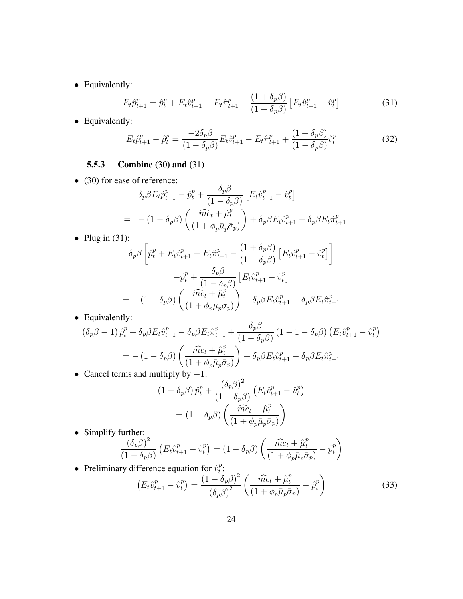• Equivalently:

$$
E_t \hat{p}_{t+1}^p = \hat{p}_t^p + E_t \hat{v}_{t+1}^p - E_t \hat{\pi}_{t+1}^p - \frac{(1 + \delta_p \beta)}{(1 - \delta_p \beta)} \left[ E_t \hat{v}_{t+1}^p - \hat{v}_t^p \right]
$$
(31)

• Equivalently:

$$
E_t \hat{p}_{t+1}^p - \hat{p}_t^p = \frac{-2\delta_p \beta}{(1 - \delta_p \beta)} E_t \hat{v}_{t+1}^p - E_t \hat{\pi}_{t+1}^p + \frac{(1 + \delta_p \beta)}{(1 - \delta_p \beta)} \hat{v}_t^p
$$
(32)

## **5.5.3 Combine (**30**) and (**31**)**

• (30) for ease of reference:

$$
\delta_p \beta E_t \hat{p}_{t+1}^p - \hat{p}_t^p + \frac{\delta_p \beta}{(1 - \delta_p \beta)} \left[ E_t \hat{v}_{t+1}^p - \hat{v}_t^p \right]
$$
\n
$$
= -(1 - \delta_p \beta) \left( \frac{\widehat{m c_t} + \hat{\mu}_t^p}{(1 + \phi_p \bar{\mu}_p \bar{\sigma}_p)} \right) + \delta_p \beta E_t \hat{v}_{t+1}^p - \delta_p \beta E_t \hat{\pi}_{t+1}^p
$$

• Plug in (31):

$$
\delta_p \beta \left[ \hat{p}_t^p + E_t \hat{v}_{t+1}^p - E_t \hat{\pi}_{t+1}^p - \frac{(1 + \delta_p \beta)}{(1 - \delta_p \beta)} \left[ E_t \hat{v}_{t+1}^p - \hat{v}_t^p \right] \right]
$$

$$
- \hat{p}_t^p + \frac{\delta_p \beta}{(1 - \delta_p \beta)} \left[ E_t \hat{v}_{t+1}^p - \hat{v}_t^p \right]
$$

$$
= - (1 - \delta_p \beta) \left( \frac{\widehat{mc}_t + \hat{\mu}_t^p}{(1 + \phi_p \bar{\mu}_p \bar{\sigma}_p)} \right) + \delta_p \beta E_t \hat{v}_{t+1}^p - \delta_p \beta E_t \hat{\pi}_{t+1}^p
$$

• Equivalently:

$$
(\delta_p \beta - 1) \hat{p}_t^p + \delta_p \beta E_t \hat{v}_{t+1}^p - \delta_p \beta E_t \hat{\pi}_{t+1}^p + \frac{\delta_p \beta}{(1 - \delta_p \beta)} (1 - 1 - \delta_p \beta) \left( E_t \hat{v}_{t+1}^p - \hat{v}_t^p \right)
$$
  
= 
$$
- (1 - \delta_p \beta) \left( \frac{\widehat{mc}_t + \hat{\mu}_t^p}{(1 + \phi_p \bar{\mu}_p \bar{\sigma}_p)} \right) + \delta_p \beta E_t \hat{v}_{t+1}^p - \delta_p \beta E_t \hat{\pi}_{t+1}^p
$$
  
Concel terms and multiply by 1:

 $\alpha$ 

• Cancel terms and multiply by  $-1$ :

$$
(1 - \delta_p \beta) \hat{p}_t^p + \frac{(\delta_p \beta)^2}{(1 - \delta_p \beta)} \left( E_t \hat{v}_{t+1}^p - \hat{v}_t^p \right)
$$

$$
= (1 - \delta_p \beta) \left( \frac{\widehat{mc}_t + \hat{\mu}_t^p}{(1 + \phi_p \bar{\mu}_p \bar{\sigma}_p)} \right)
$$

• Simplify further:

$$
\frac{\left(\delta_p \beta\right)^2}{\left(1 - \delta_p \beta\right)} \left(E_t \hat{v}_{t+1}^p - \hat{v}_t^p\right) = \left(1 - \delta_p \beta\right) \left(\frac{\widehat{mc}_t + \widehat{\mu}_t^p}{\left(1 + \phi_p \bar{\mu}_p \bar{\sigma}_p\right)} - \widehat{p}_t^p\right)
$$

• Preliminary difference equation for  $\hat{v}_t^p$  $_t^p$ :

$$
\left(E_t \hat{v}_{t+1}^p - \hat{v}_t^p\right) = \frac{\left(1 - \delta_p \beta\right)^2}{\left(\delta_p \beta\right)^2} \left(\frac{\widehat{mc}_t + \widehat{\mu}_t^p}{\left(1 + \phi_p \bar{\mu}_p \bar{\sigma}_p\right)} - \widehat{p}_t^p\right)
$$
(33)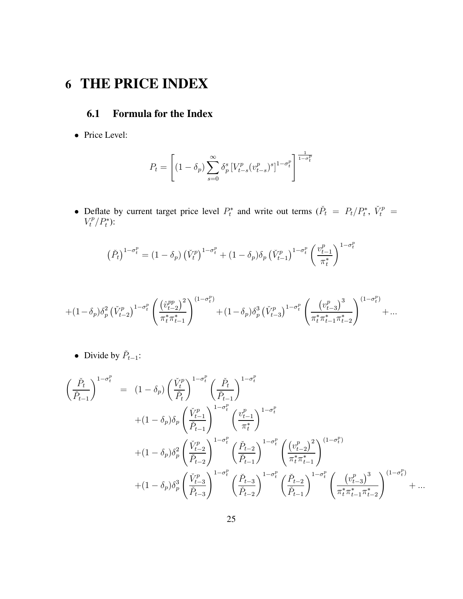# **6 THE PRICE INDEX**

## **6.1 Formula for the Index**

• Price Level:

$$
P_t = \left[ (1 - \delta_p) \sum_{s=0}^{\infty} \delta_p^s \left[ V_{t-s}^p (v_{t-s}^p)^s \right]^{1 - \sigma_t^p} \right]^{\frac{1}{1 - \sigma_t^p}}
$$

• Deflate by current target price level  $P_t^*$  and write out terms  $(\check{P}_t = P_t/P_t^*, \check{V}_t^p = \check{P}_t/P_t^*)$  $V_t^p/P_t^*$ ):

$$
\left(\check{P}_t\right)^{1-\sigma_t^p} = \left(1-\delta_p\right)\left(\check{V}_t^p\right)^{1-\sigma_t^p} + \left(1-\delta_p\right)\delta_p\left(\check{V}_{t-1}^p\right)^{1-\sigma_t^p}\left(\frac{v_{t-1}^p}{\pi_t^*}\right)^{1-\sigma_t^p}
$$

$$
+ (1-\delta_p) \delta_p^2 \left( \check{V}_{t-2}^p \right)^{1-\sigma_t^p} \left( \frac{\left( \hat{v}_{t-2}^{pp} \right)^2}{\pi_t^* \pi_{t-1}^*} \right)^{(1-\sigma_t^p)} + (1-\delta_p) \delta_p^3 \left( \check{V}_{t-3}^p \right)^{1-\sigma_t^p} \left( \frac{\left( v_{t-3}^p \right)^3}{\pi_t^* \pi_{t-1}^* \pi_{t-2}^*} \right)^{(1-\sigma_t^p)} + \ldots
$$

• Divide by  $\check{P}_{t-1}$ :

$$
\begin{array}{lll} \displaystyle \left(\frac{\check{P}_{t}}{\check{P}_{t-1}}\right)^{1-\sigma_{t}^{p}} & = & \displaystyle (1-\delta_{p})\left(\frac{\check{V}_{t}^{p}}{\check{P}_{t}}\right)^{1-\sigma_{t}^{p}}\left(\frac{\check{P}_{t}}{\check{P}_{t-1}}\right)^{1-\sigma_{t}^{p}} \\[0.2cm] & \displaystyle + (1-\delta_{p})\delta_{p}\left(\frac{\check{V}_{t-1}^{p}}{\check{P}_{t-1}}\right)^{1-\sigma_{t}^{p}}\left(\frac{v_{t-1}^{p}}{\pi_{t}^{*}}\right)^{1-\sigma_{t}^{p}} \\[0.2cm] & \displaystyle + (1-\delta_{p})\delta_{p}^{2}\left(\frac{\check{V}_{t-2}^{p}}{\check{P}_{t-2}}\right)^{1-\sigma_{t}^{p}}\left(\frac{\check{P}_{t-2}}{\check{P}_{t-1}}\right)^{1-\sigma_{t}^{p}}\left(\frac{\left(v_{t-2}^{p}\right)^{2}}{\pi_{t}^{*}\pi_{t-1}^{*}}\right)^{1-\sigma_{t}^{p}} \\[0.2cm] & \displaystyle + (1-\delta_{p})\delta_{p}^{3}\left(\frac{\check{V}_{t-3}^{p}}{\check{P}_{t-3}}\right)^{1-\sigma_{t}^{p}}\left(\frac{\check{P}_{t-3}}{\check{P}_{t-2}}\right)^{1-\sigma_{t}^{p}}\left(\frac{\check{P}_{t-2}}{\check{P}_{t-1}}\right)^{1-\sigma_{t}^{p}}\left(\frac{\left(v_{t-3}^{p}\right)^{3}}{\pi_{t}^{*}\pi_{t-1}^{*}\pi_{t-2}^{*}}\right)^{(1-\sigma_{t}^{p})} + \dots \end{array}
$$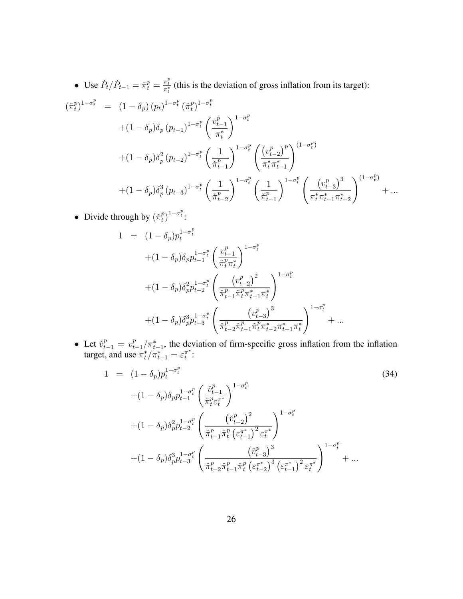• Use  $\tilde{P}_t / \tilde{P}_{t-1} = \tilde{\pi}_t^p = \frac{\pi_t^p}{\pi_t^*}$  (this is the deviation of gross inflation from its target):

$$
\begin{split}\n(\check{\pi}_{t}^{p})^{1-\sigma_{t}^{p}} &= (1-\delta_{p})(p_{t})^{1-\sigma_{t}^{p}}(\check{\pi}_{t}^{p})^{1-\sigma_{t}^{p}} \\
&+ (1-\delta_{p})\delta_{p}(p_{t-1})^{1-\sigma_{t}^{p}}\left(\frac{v_{t-1}^{p}}{\pi_{t}^{*}}\right)^{1-\sigma_{t}^{p}} \\
&+ (1-\delta_{p})\delta_{p}^{2}(p_{t-2})^{1-\sigma_{t}^{p}}\left(\frac{1}{\check{\pi}_{t-1}^{p}}\right)^{1-\sigma_{t}^{p}}\left(\frac{(v_{t-2}^{p})^{p}}{\pi_{t}^{*}\pi_{t-1}^{*}}\right)^{(1-\sigma_{t}^{p})} \\
&+ (1-\delta_{p})\delta_{p}^{3}(p_{t-3})^{1-\sigma_{t}^{p}}\left(\frac{1}{\check{\pi}_{t-2}^{p}}\right)^{1-\sigma_{t}^{p}}\left(\frac{1}{\check{\pi}_{t-1}^{p}}\right)^{1-\sigma_{t}^{p}}\left(\frac{(v_{t-3}^{p})^{3}}{\pi_{t}^{*}\pi_{t-1}^{*}\pi_{t-2}^{*}}\right)^{(1-\sigma_{t}^{p})} + \dots\n\end{split}
$$

• Divide through by  $(\check{\pi}_t^p)$  $\binom{p}{t}^{1-\sigma_t^p}$ :

$$
1 = (1 - \delta_p)p_t^{1 - \sigma_t^p}
$$
  
\n
$$
+ (1 - \delta_p)\delta_p p_{t-1}^{1 - \sigma_t^p} \left(\frac{v_{t-1}^p}{\tilde{\pi}_t^p \pi_t^*}\right)^{1 - \sigma_t^p}
$$
  
\n
$$
+ (1 - \delta_p)\delta_p^2 p_{t-2}^{1 - \sigma_t^p} \left(\frac{(v_{t-2}^p)^2}{\tilde{\pi}_{t-1}^p \tilde{\pi}_t^p \pi_{t-1}^* \pi_t^*}\right)^{1 - \sigma_t^p}
$$
  
\n
$$
+ (1 - \delta_p)\delta_p^3 p_{t-3}^{1 - \sigma_t^p} \left(\frac{(v_{t-3}^p)^3}{\tilde{\pi}_{t-2}^p \tilde{\pi}_{t-1}^p \tilde{\pi}_t^p \pi_{t-2}^* \pi_{t-1}^* \pi_t^*}\right)^{1 - \sigma_t^p} + \dots
$$

• Let  $\check{v}_{t-1}^p = v_t^p$  $t_{t-1}^{p}/\pi_{t-1}^{*}$ , the deviation of firm-specific gross inflation from the inflation target, and use  $\pi_t^*/\pi_{t-1}^* = \varepsilon_t^{\pi^*}$  $\pi^*$  :<br>t

$$
1 = (1 - \delta_p) p_t^{1 - \sigma_t^p}
$$
\n
$$
+ (1 - \delta_p) \delta_p p_{t-1}^{1 - \sigma_t^p} \left( \frac{\check{v}_{t-1}^p}{\check{\pi}_t^p \varepsilon_t^{x}} \right)^{1 - \sigma_t^p}
$$
\n
$$
+ (1 - \delta_p) \delta_p^2 p_{t-2}^{1 - \sigma_t^p} \left( \frac{(\check{v}_{t-2}^p)^2}{\check{\pi}_{t-1}^p \check{\pi}_t^p (\varepsilon_{t-1}^{x})^2 \varepsilon_t^{x}} \right)^{1 - \sigma_t^p}
$$
\n
$$
+ (1 - \delta_p) \delta_p^3 p_{t-3}^{1 - \sigma_t^p} \left( \frac{(\check{v}_{t-3}^p)^3}{\check{\pi}_{t-2}^p \check{\pi}_{t-1}^p \check{\pi}_t^p (\varepsilon_{t-2}^{x})^3 (\varepsilon_{t-1}^{x})^2 \varepsilon_t^{x}} \right)^{1 - \sigma_t^p} + \dots
$$
\n(34)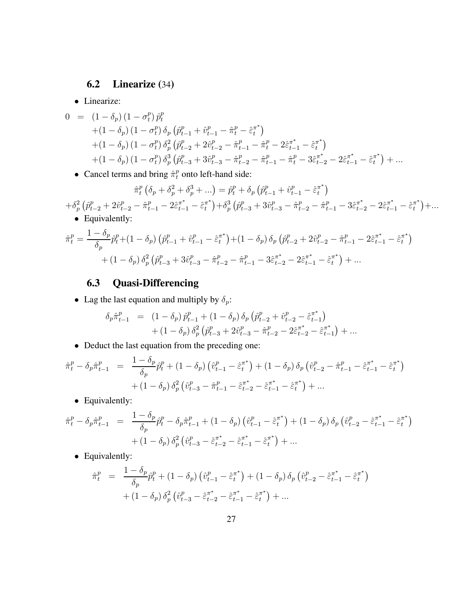## **6.2 Linearize (**34**)**

• Linearize:

$$
0 = (1 - \delta_p) (1 - \sigma_t^p) \hat{p}_t^p
$$
  
+ 
$$
(1 - \delta_p) (1 - \sigma_t^p) \delta_p (\hat{p}_{t-1}^p + \hat{v}_{t-1}^p - \hat{\pi}_t^p - \hat{\varepsilon}_t^{\pi^*})
$$
  
+ 
$$
(1 - \delta_p) (1 - \sigma_t^p) \delta_p^2 (\hat{p}_{t-2}^p + 2\hat{v}_{t-2}^p - \hat{\pi}_{t-1}^p - \hat{\pi}_t^p - 2\hat{\varepsilon}_{t-1}^{\pi^*} - \hat{\varepsilon}_t^{\pi^*})
$$
  
+ 
$$
(1 - \delta_p) (1 - \sigma_t^p) \delta_p^3 (\hat{p}_{t-3}^p + 3\hat{v}_{t-3}^p - \hat{\pi}_{t-2}^p - \hat{\pi}_{t-1}^p - \hat{\pi}_t^p - 3\hat{\varepsilon}_{t-2}^{\pi^*} - 2\hat{\varepsilon}_{t-1}^{\pi^*} - \hat{\varepsilon}_t^{\pi^*}) + ...
$$

• Cancel terms and bring  $\hat{\pi}_t^p$  onto left-hand side:

$$
\hat{\pi}_{t}^{p} \left( \delta_{p} + \delta_{p}^{2} + \delta_{p}^{3} + \ldots \right) = \hat{p}_{t}^{p} + \delta_{p} \left( \hat{p}_{t-1}^{p} + \hat{v}_{t-1}^{p} - \hat{\varepsilon}_{t}^{\pi^{*}} \right)
$$
\n
$$
+ \delta_{p}^{2} \left( \hat{p}_{t-2}^{p} + 2\hat{v}_{t-2}^{p} - \hat{\pi}_{t-1}^{p} - 2\hat{\varepsilon}_{t-1}^{\pi^{*}} - \hat{\varepsilon}_{t}^{\pi^{*}} \right) + \delta_{p}^{3} \left( \hat{p}_{t-3}^{p} + 3\hat{v}_{t-3}^{p} - \hat{\pi}_{t-2}^{p} - \hat{\pi}_{t-1}^{p} - 3\hat{\varepsilon}_{t-2}^{\pi^{*}} - 2\hat{\varepsilon}_{t-1}^{\pi^{*}} - \hat{\varepsilon}_{t}^{\pi^{*}} \right) + \ldots
$$
\n• Equivalently:

$$
\hat{\pi}_t^p = \frac{1 - \delta_p}{\delta_p} \hat{p}_t^p + (1 - \delta_p) \left( \hat{p}_{t-1}^p + \hat{v}_{t-1}^p - \hat{\varepsilon}_t^{\pi^*} \right) + (1 - \delta_p) \delta_p \left( \hat{p}_{t-2}^p + 2\hat{v}_{t-2}^p - \hat{\pi}_{t-1}^p - 2\hat{\varepsilon}_{t-1}^{\pi^*} - \hat{\varepsilon}_t^{\pi^*} \right) + (1 - \delta_p) \delta_p^2 \left( \hat{p}_{t-3}^p + 3\hat{v}_{t-3}^p - \hat{\pi}_{t-2}^p - \hat{\pi}_{t-1}^p - 3\hat{\varepsilon}_{t-2}^{\pi^*} - 2\hat{\varepsilon}_{t-1}^{\pi^*} - \hat{\varepsilon}_t^{\pi^*} \right) + \dots
$$

## **6.3 Quasi-Differencing**

• Lag the last equation and multiply by  $\delta_p$ :

$$
\delta_p \hat{\pi}_{t-1}^p = (1 - \delta_p) \hat{p}_{t-1}^p + (1 - \delta_p) \delta_p \left( \hat{p}_{t-2}^p + \hat{v}_{t-2}^p - \hat{\varepsilon}_{t-1}^{\pi^*} \right) \n+ (1 - \delta_p) \delta_p^2 \left( \hat{p}_{t-3}^p + 2 \hat{v}_{t-3}^p - \hat{\pi}_{t-2}^p - 2 \hat{\varepsilon}_{t-2}^{\pi^*} - \hat{\varepsilon}_{t-1}^{\pi^*} \right) + \dots
$$

• Deduct the last equation from the preceding one:

$$
\hat{\pi}_t^p - \delta_p \hat{\pi}_{t-1}^p = \frac{1 - \delta_p}{\delta_p} \hat{p}_t^p + (1 - \delta_p) \left( \hat{v}_{t-1}^p - \hat{\varepsilon}_t^{\pi^*} \right) + (1 - \delta_p) \delta_p \left( \hat{v}_{t-2}^p - \hat{\pi}_{t-1}^p - \hat{\varepsilon}_{t-1}^{\pi^*} - \hat{\varepsilon}_t^{\pi^*} \right) + (1 - \delta_p) \delta_p^2 \left( \hat{v}_{t-3}^p - \hat{\pi}_{t-1}^p - \hat{\varepsilon}_{t-2}^{\pi^*} - \hat{\varepsilon}_{t-1}^{\pi^*} - \hat{\varepsilon}_t^{\pi^*} \right) + \dots
$$

• Equivalently:

$$
\hat{\pi}_t^p - \delta_p \hat{\pi}_{t-1}^p = \frac{1 - \delta_p}{\delta_p} \hat{p}_t^p - \delta_p \hat{\pi}_{t-1}^p + (1 - \delta_p) \left( \hat{v}_{t-1}^p - \hat{\varepsilon}_t^{\pi^*} \right) + (1 - \delta_p) \delta_p \left( \hat{v}_{t-2}^p - \hat{\varepsilon}_{t-1}^{\pi^*} - \hat{\varepsilon}_t^{\pi^*} \right) \n+ (1 - \delta_p) \delta_p^2 \left( \hat{v}_{t-3}^p - \hat{\varepsilon}_{t-2}^{\pi^*} - \hat{\varepsilon}_{t-1}^{\pi^*} - \hat{\varepsilon}_t^{\pi^*} \right) + \dots
$$

• Equivalently:

$$
\hat{\pi}_t^p = \frac{1 - \delta_p}{\delta_p} \hat{p}_t^p + (1 - \delta_p) \left( \hat{v}_{t-1}^p - \hat{\varepsilon}_t^{\pi^*} \right) + (1 - \delta_p) \delta_p \left( \hat{v}_{t-2}^p - \hat{\varepsilon}_{t-1}^{\pi^*} - \hat{\varepsilon}_t^{\pi^*} \right) + (1 - \delta_p) \delta_p^2 \left( \hat{v}_{t-3}^p - \hat{\varepsilon}_{t-2}^{\pi^*} - \hat{\varepsilon}_{t-1}^{\pi^*} - \hat{\varepsilon}_t^{\pi^*} \right) + \dots
$$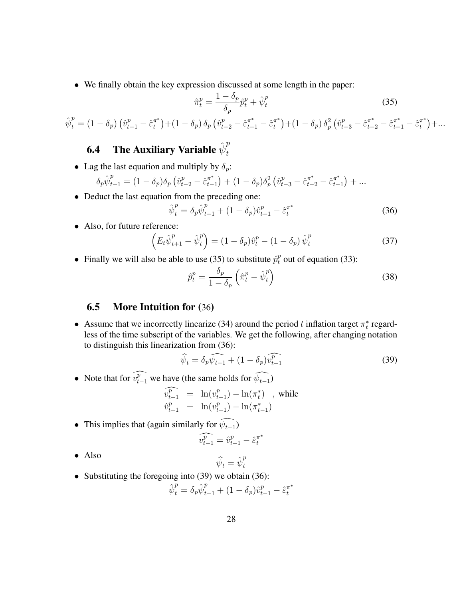• We finally obtain the key expression discussed at some length in the paper:

$$
\hat{\pi}_t^p = \frac{1 - \delta_p}{\delta_p} \hat{p}_t^p + \hat{\psi}_t^p \tag{35}
$$

$$
\hat{\psi}_t^p = (1 - \delta_p) \left( \hat{v}_{t-1}^p - \hat{\varepsilon}_t^{\pi^*} \right) + (1 - \delta_p) \, \delta_p \left( \hat{v}_{t-2}^p - \hat{\varepsilon}_{t-1}^{\pi^*} - \hat{\varepsilon}_t^{\pi^*} \right) + (1 - \delta_p) \, \delta_p^2 \left( \hat{v}_{t-3}^p - \hat{\varepsilon}_{t-2}^{\pi^*} - \hat{\varepsilon}_{t-1}^{\pi^*} - \hat{\varepsilon}_t^{\pi^*} \right) + \dots
$$

#### **6.4** The Auxiliary Variable  $\hat{\psi}^p_t$ t

• Lag the last equation and multiply by  $\delta_p$ :

$$
\delta_p \hat{\psi}_{t-1}^p = (1 - \delta_p) \delta_p \left( \hat{v}_{t-2}^p - \hat{\varepsilon}_{t-1}^{\pi^*} \right) + (1 - \delta_p) \delta_p^2 \left( \hat{v}_{t-3}^p - \hat{\varepsilon}_{t-2}^{\pi^*} - \hat{\varepsilon}_{t-1}^{\pi^*} \right) + \dots
$$

• Deduct the last equation from the preceding one:

$$
\hat{\psi}_t^p = \delta_p \hat{\psi}_{t-1}^p + (1 - \delta_p) \hat{v}_{t-1}^p - \hat{\varepsilon}_t^{\pi^*}
$$
\n(36)

• Also, for future reference:

$$
\left(E_t \hat{\psi}_{t+1}^p - \hat{\psi}_t^p\right) = (1 - \delta_p)\hat{v}_t^p - (1 - \delta_p)\hat{\psi}_t^p \tag{37}
$$

• Finally we will also be able to use (35) to substitute  $\hat{p}_t^p$  out of equation (33):

$$
\hat{p}_t^p = \frac{\delta_p}{1 - \delta_p} \left( \hat{\pi}_t^p - \hat{\psi}_t^p \right)
$$
\n(38)

## **6.5 More Intuition for (**36**)**

• Assume that we incorrectly linearize (34) around the period t inflation target  $\pi_t^*$  regardless of the time subscript of the variables. We get the following, after changing notation to distinguish this linearization from (36):

$$
\widehat{\psi}_t = \delta_p \widehat{\psi_{t-1}} + (1 - \delta_p) \widehat{v_{t-1}^p}
$$
\n(39)

• Note that for  $\widehat{v_{t-1}^p}$  we have (the same holds for  $\widehat{\psi_{t-1}}$ )

$$
\widehat{v_{t-1}^p} = \ln(v_{t-1}^p) - \ln(\pi_t^*) \quad \text{while}
$$
\n
$$
\widehat{v_{t-1}^p} = \ln(v_{t-1}^p) - \ln(\pi_{t-1}^*)
$$

• This implies that (again similarly for  $\psi_{t-1}$ )

$$
\widehat{v_{t-1}^p} = \widehat{v}_{t-1}^p - \widehat{\varepsilon}_t^{\pi^*}
$$

• Also

$$
\widehat{\psi}_t = \widehat{\psi}_t^p
$$

• Substituting the foregoing into (39) we obtain (36):

$$
\hat{\psi}_t^p = \delta_p \hat{\psi}_{t-1}^p + (1 - \delta_p) \hat{v}_{t-1}^p - \hat{\varepsilon}_t^{\pi^*}
$$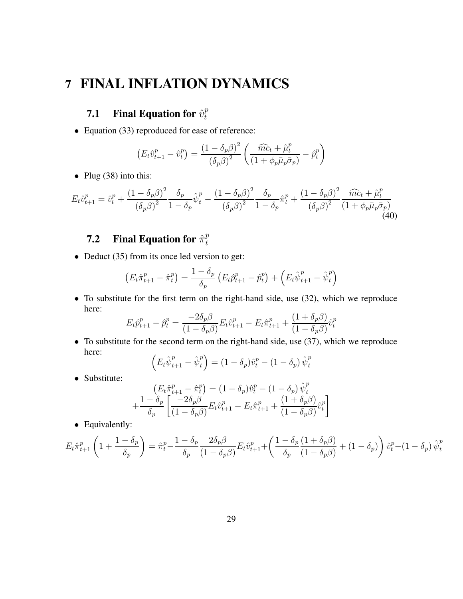# **7 FINAL INFLATION DYNAMICS**

#### **7.1** Final Equation for  $\hat{v}_t^p$ t

• Equation (33) reproduced for ease of reference:

$$
\left(E_t \hat{v}_{t+1}^p - \hat{v}_t^p\right) = \frac{\left(1 - \delta_p \beta\right)^2}{\left(\delta_p \beta\right)^2} \left(\frac{\widehat{mc}_t + \widehat{\mu}_t^p}{\left(1 + \phi_p \bar{\mu}_p \bar{\sigma}_p\right)} - \widehat{p}_t^p\right)
$$

• Plug (38) into this:

$$
E_t \hat{v}_{t+1}^p = \hat{v}_t^p + \frac{(1 - \delta_p \beta)^2}{(\delta_p \beta)^2} \frac{\delta_p}{1 - \delta_p} \hat{\psi}_t^p - \frac{(1 - \delta_p \beta)^2}{(\delta_p \beta)^2} \frac{\delta_p}{1 - \delta_p} \hat{\pi}_t^p + \frac{(1 - \delta_p \beta)^2}{(\delta_p \beta)^2} \frac{\widehat{mc}_t + \widehat{\mu}_t^p}{(1 + \phi_p \bar{\mu}_p \bar{\sigma}_p)}
$$
(40)

#### **7.2** Final Equation for  $\hat{\pi}^p_t$ t

• Deduct (35) from its once led version to get:

$$
\left(E_{t}\hat{\pi}_{t+1}^{p} - \hat{\pi}_{t}^{p}\right) = \frac{1 - \delta_{p}}{\delta_{p}}\left(E_{t}\hat{p}_{t+1}^{p} - \hat{p}_{t}^{p}\right) + \left(E_{t}\hat{\psi}_{t+1}^{p} - \hat{\psi}_{t}^{p}\right)
$$

• To substitute for the first term on the right-hand side, use (32), which we reproduce here:

$$
E_t \hat{p}_{t+1}^p - \hat{p}_t^p = \frac{-2\delta_p \beta}{(1 - \delta_p \beta)} E_t \hat{v}_{t+1}^p - E_t \hat{\pi}_{t+1}^p + \frac{(1 + \delta_p \beta)}{(1 - \delta_p \beta)} \hat{v}_t^p
$$

• To substitute for the second term on the right-hand side, use (37), which we reproduce here:

$$
\left(E_t \hat{\psi}_{t+1}^p - \hat{\psi}_t^p\right) = \left(1 - \delta_p\right) \hat{v}_t^p - \left(1 - \delta_p\right) \hat{\psi}_t^p
$$

• Substitute:

$$
\begin{aligned}\n\left(E_t\hat{\pi}_{t+1}^p - \hat{\pi}_t^p\right) &= (1 - \delta_p)\hat{v}_t^p - (1 - \delta_p)\hat{\psi}_t^p \\
&+ \frac{1 - \delta_p}{\delta_p} \left[\frac{-2\delta_p\beta}{(1 - \delta_p\beta)} E_t\hat{v}_{t+1}^p - E_t\hat{\pi}_{t+1}^p + \frac{(1 + \delta_p\beta)}{(1 - \delta_p\beta)}\hat{v}_t^p\right]\n\end{aligned}
$$

• Equivalently:

$$
E_t \hat{\pi}_{t+1}^p \left(1 + \frac{1 - \delta_p}{\delta_p}\right) = \hat{\pi}_t^p - \frac{1 - \delta_p}{\delta_p} \frac{2\delta_p \beta}{(1 - \delta_p \beta)} E_t \hat{v}_{t+1}^p + \left(\frac{1 - \delta_p (1 + \delta_p \beta)}{\delta_p} + (1 - \delta_p)\right) \hat{v}_t^p - (1 - \delta_p) \hat{\psi}_t^p
$$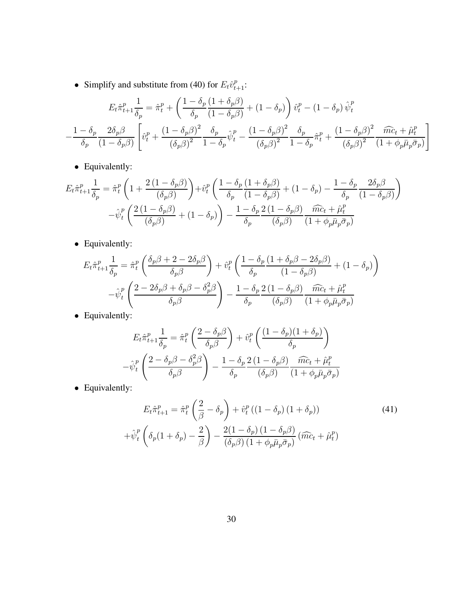• Simplify and substitute from (40) for  $E_t \hat{v}_{t+1}^p$ :

$$
E_t \hat{\pi}_{t+1}^p \frac{1}{\delta_p} = \hat{\pi}_t^p + \left(\frac{1 - \delta_p (1 + \delta_p \beta)}{\delta_p (1 - \delta_p \beta)} + (1 - \delta_p)\right) \hat{v}_t^p - (1 - \delta_p) \hat{\psi}_t^p
$$

$$
- \frac{1 - \delta_p}{\delta_p} \frac{2\delta_p \beta}{(1 - \delta_p \beta)} \left[ \hat{v}_t^p + \frac{(1 - \delta_p \beta)^2}{(\delta_p \beta)^2} \frac{\delta_p}{1 - \delta_p} \hat{\psi}_t^p - \frac{(1 - \delta_p \beta)^2}{(\delta_p \beta)^2} \frac{\delta_p}{1 - \delta_p} \hat{\pi}_t^p + \frac{(1 - \delta_p \beta)^2}{(\delta_p \beta)^2} \frac{\widehat{mc}_t + \widehat{\mu}_t^p}{(1 + \phi_p \bar{\mu}_p \bar{\sigma}_p)} \right]
$$

• Equivalently:

$$
E_t \hat{\pi}_{t+1}^p \frac{1}{\delta_p} = \hat{\pi}_t^p \left( 1 + \frac{2 \left( 1 - \delta_p \beta \right)}{(\delta_p \beta)} \right) + \hat{v}_t^p \left( \frac{1 - \delta_p \left( 1 + \delta_p \beta \right)}{\delta_p \left( 1 - \delta_p \beta \right)} + (1 - \delta_p) - \frac{1 - \delta_p}{\delta_p} \frac{2 \delta_p \beta}{(1 - \delta_p \beta)} \right) - \hat{v}_t^p \left( \frac{2 \left( 1 - \delta_p \beta \right)}{(\delta_p \beta)} + (1 - \delta_p) \right) - \frac{1 - \delta_p}{\delta_p} \frac{2 \left( 1 - \delta_p \beta \right)}{(\delta_p \beta)} \frac{\widehat{mc}_t + \hat{\mu}_t^p}{(1 + \phi_p \bar{\mu}_p \bar{\sigma}_p)}
$$

• Equivalently:

$$
E_t \hat{\pi}_{t+1}^p \frac{1}{\delta_p} = \hat{\pi}_t^p \left( \frac{\delta_p \beta + 2 - 2\delta_p \beta}{\delta_p \beta} \right) + \hat{v}_t^p \left( \frac{1 - \delta_p \left( 1 + \delta_p \beta - 2\delta_p \beta \right)}{(1 - \delta_p \beta)} + (1 - \delta_p) \right)
$$

$$
- \hat{\psi}_t^p \left( \frac{2 - 2\delta_p \beta + \delta_p \beta - \delta_p^2 \beta}{\delta_p \beta} \right) - \frac{1 - \delta_p \cdot 2 (1 - \delta_p \beta)}{\delta_p} \frac{\widehat{mc}_t + \hat{\mu}_t^p}{(1 + \phi_p \bar{\mu}_p \bar{\sigma}_p)}
$$

• Equivalently:

$$
E_t \hat{\pi}_{t+1}^p \frac{1}{\delta_p} = \hat{\pi}_t^p \left( \frac{2 - \delta_p \beta}{\delta_p \beta} \right) + \hat{v}_t^p \left( \frac{(1 - \delta_p)(1 + \delta_p)}{\delta_p} \right)
$$

$$
- \hat{\psi}_t^p \left( \frac{2 - \delta_p \beta - \delta_p^2 \beta}{\delta_p \beta} \right) - \frac{1 - \delta_p}{\delta_p} \frac{2 (1 - \delta_p \beta)}{(\delta_p \beta)} \frac{\widehat{mc}_t + \hat{\mu}_t^p}{(1 + \phi_p \bar{\mu}_p \bar{\sigma}_p)}
$$

• Equivalently:

$$
E_t \hat{\pi}_{t+1}^p = \hat{\pi}_t^p \left(\frac{2}{\beta} - \delta_p\right) + \hat{v}_t^p \left((1 - \delta_p)(1 + \delta_p)\right)
$$
(41)  
 
$$
+ \hat{\psi}_t^p \left(\delta_p(1 + \delta_p) - \frac{2}{\beta}\right) - \frac{2(1 - \delta_p)(1 - \delta_p \beta)}{(\delta_p \beta)(1 + \phi_p \bar{\mu}_p \bar{\sigma}_p)} \left(\widehat{mc}_t + \hat{\mu}_t^p\right)
$$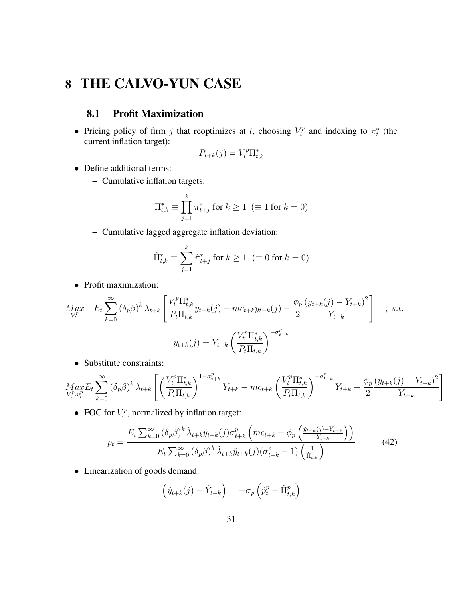# **8 THE CALVO-YUN CASE**

## **8.1 Profit Maximization**

• Pricing policy of firm j that reoptimizes at t, choosing  $V_t^p$  $\tau_t^p$  and indexing to  $\pi_t^*$  (the current inflation target):

$$
P_{t+k}(j) = V_t^p \Pi_{t,k}^*
$$

- Define additional terms:
	- **–** Cumulative inflation targets:

$$
\Pi_{t,k}^* \equiv \prod_{j=1}^k \pi_{t+j}^* \text{ for } k \ge 1 \ \ (\equiv 1 \text{ for } k = 0)
$$

**–** Cumulative lagged aggregate inflation deviation:

$$
\hat{\Pi}_{t,k}^* \equiv \sum_{j=1}^k \hat{\pi}_{t+j}^* \text{ for } k \ge 1 \ \ (\equiv 0 \text{ for } k = 0)
$$

• Profit maximization:

$$
M_{V_t^p}^{ax} E_t \sum_{k=0}^{\infty} (\delta_p \beta)^k \lambda_{t+k} \left[ \frac{V_t^p \Pi_{t,k}^*}{P_t \Pi_{t,k}} y_{t+k}(j) - mc_{t+k} y_{t+k}(j) - \frac{\phi_p (y_{t+k}(j) - Y_{t+k})^2}{2} \right], \text{ s.t.}
$$
  

$$
y_{t+k}(j) = Y_{t+k} \left( \frac{V_t^p \Pi_{t,k}^*}{P_t \Pi_{t,k}} \right)^{-\sigma_{t+k}^p}
$$

• Substitute constraints:

$$
\underset{V_t^p, v_t^p}{Max} E_t \sum_{k=0}^{\infty} \left( \delta_p \beta \right)^k \lambda_{t+k} \left[ \left( \frac{V_t^p \Pi_{t,k}^*}{P_t \Pi_{t,k}} \right)^{1-\sigma_{t+k}^p} Y_{t+k} - mc_{t+k} \left( \frac{V_t^p \Pi_{t,k}^*}{P_t \Pi_{t,k}} \right)^{-\sigma_{t+k}^p} Y_{t+k} - \frac{\phi_p \left( y_{t+k}(j) - Y_{t+k} \right)^2}{2} \right]
$$

• FOC for  $V_t^p$  $t_t^p$ , normalized by inflation target:

$$
p_t = \frac{E_t \sum_{k=0}^{\infty} (\delta_p \beta)^k \check{\lambda}_{t+k} \check{y}_{t+k}(j) \sigma_{t+k}^p \left( mc_{t+k} + \phi_p \left( \frac{\check{y}_{t+k}(j) - \check{Y}_{t+k}}{\check{Y}_{t+k}} \right) \right)}{E_t \sum_{k=0}^{\infty} (\delta_p \beta)^k \check{\lambda}_{t+k} \check{y}_{t+k}(j) (\sigma_{t+k}^p - 1) \left( \frac{1}{\check{\Pi}_{t,k}} \right)}
$$
(42)

• Linearization of goods demand:

$$
\left(\hat{y}_{t+k}(j) - \hat{Y}_{t+k}\right) = -\bar{\sigma}_p \left(\hat{p}_t^p - \hat{\Pi}_{t,k}^p\right)
$$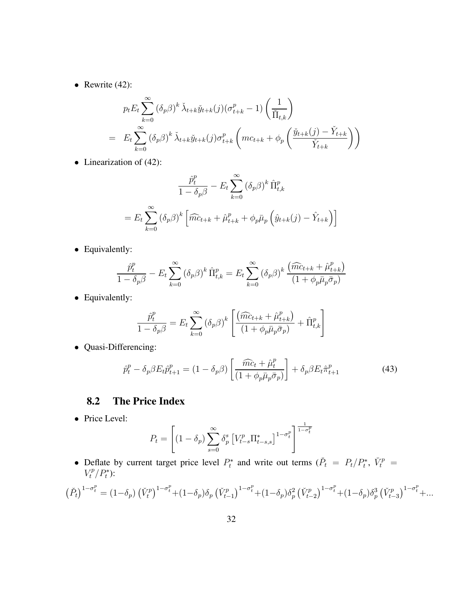• Rewrite  $(42)$ :

$$
p_t E_t \sum_{k=0}^{\infty} (\delta_p \beta)^k \check{\lambda}_{t+k} \check{y}_{t+k}(j) (\sigma_{t+k}^p - 1) \left( \frac{1}{\check{\Pi}_{t,k}} \right)
$$
  
= 
$$
E_t \sum_{k=0}^{\infty} (\delta_p \beta)^k \check{\lambda}_{t+k} \check{y}_{t+k}(j) \sigma_{t+k}^p \left( mc_{t+k} + \phi_p \left( \frac{\check{y}_{t+k}(j) - \check{Y}_{t+k}}{\check{Y}_{t+k}} \right) \right)
$$

• Linearization of (42):

$$
\frac{\hat{p}_t^p}{1 - \delta_p \beta} - E_t \sum_{k=0}^{\infty} (\delta_p \beta)^k \hat{\Pi}_{t,k}^p
$$

$$
= E_t \sum_{k=0}^{\infty} (\delta_p \beta)^k \left[ \widehat{mc}_{t+k} + \widehat{\mu}_{t+k}^p + \phi_p \bar{\mu}_p \left( \widehat{y}_{t+k}(j) - \widehat{Y}_{t+k} \right) \right]
$$

• Equivalently:

$$
\frac{\hat{p}_t^p}{1 - \delta_p \beta} - E_t \sum_{k=0}^{\infty} (\delta_p \beta)^k \hat{\Pi}_{t,k}^p = E_t \sum_{k=0}^{\infty} (\delta_p \beta)^k \frac{(\widehat{mc}_{t+k} + \widehat{\mu}_{t+k}^p)}{(1 + \phi_p \bar{\mu}_p \bar{\sigma}_p)}
$$

• Equivalently:

$$
\frac{\hat{p}_t^p}{1 - \delta_p \beta} = E_t \sum_{k=0}^{\infty} (\delta_p \beta)^k \left[ \frac{(\widehat{mc}_{t+k} + \widehat{\mu}_{t+k}^p)}{(1 + \phi_p \overline{\mu}_p \overline{\sigma}_p)} + \widehat{\Pi}_{t,k}^p \right]
$$

• Quasi-Differencing:

$$
\hat{p}_t^p - \delta_p \beta E_t \hat{p}_{t+1}^p = (1 - \delta_p \beta) \left[ \frac{\widehat{mc}_t + \hat{\mu}_t^p}{(1 + \phi_p \bar{\mu}_p \bar{\sigma}_p)} \right] + \delta_p \beta E_t \hat{\pi}_{t+1}^p \tag{43}
$$

## **8.2 The Price Index**

• Price Level:

$$
P_{t} = \left[ (1 - \delta_{p}) \sum_{s=0}^{\infty} \delta_{p}^{s} \left[ V_{t-s}^{p} \Pi_{t-s,s}^{*} \right]^{1 - \sigma_{t}^{p}} \right]^{\frac{1}{1 - \sigma_{t}^{p}}}
$$

• Deflate by current target price level  $P_t^*$  and write out terms  $(\check{P}_t = P_t/P_t^*, \check{V}_t^p = \check{V}_t^*$  $V_t^p/P_t^*$ ):

$$
\left(\check{P}_{t}\right)^{1-\sigma_{t}^{p}} = (1-\delta_{p})\left(\check{V}_{t}^{p}\right)^{1-\sigma_{t}^{p}} + (1-\delta_{p})\delta_{p}\left(\check{V}_{t-1}^{p}\right)^{1-\sigma_{t}^{p}} + (1-\delta_{p})\delta_{p}^{2}\left(\check{V}_{t-2}^{p}\right)^{1-\sigma_{t}^{p}} + (1-\delta_{p})\delta_{p}^{3}\left(\check{V}_{t-3}^{p}\right)^{1-\sigma_{t}^{p}} + \dots
$$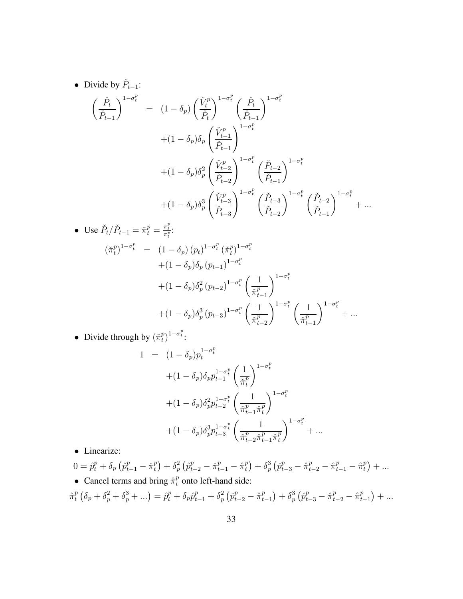• Divide by  $\check{P}_{t-1}$ :

$$
\begin{aligned}\n&\left(\frac{\check{P}_{t}}{\check{P}_{t-1}}\right)^{1-\sigma_{t}^{p}} \\
&= (1-\delta_{p})\left(\frac{\check{V}_{t}^{p}}{\check{P}_{t}}\right)^{1-\sigma_{t}^{p}}\left(\frac{\check{P}_{t}}{\check{P}_{t-1}}\right)^{1-\sigma_{t}^{p}} \\
&+ (1-\delta_{p})\delta_{p}\left(\frac{\check{V}_{t-1}^{p}}{\check{P}_{t-1}}\right)^{1-\sigma_{t}^{p}} \\
&+ (1-\delta_{p})\delta_{p}^{2}\left(\frac{\check{V}_{t-2}^{p}}{\check{P}_{t-2}}\right)^{1-\sigma_{t}^{p}}\left(\frac{\check{P}_{t-2}}{\check{P}_{t-1}}\right)^{1-\sigma_{t}^{p}} \\
&+ (1-\delta_{p})\delta_{p}^{3}\left(\frac{\check{V}_{t-3}^{p}}{\check{P}_{t-3}}\right)^{1-\sigma_{t}^{p}}\left(\frac{\check{P}_{t-3}}{\check{P}_{t-2}}\right)^{1-\sigma_{t}^{p}}\left(\frac{\check{P}_{t-2}}{\check{P}_{t-1}}\right)^{1-\sigma_{t}^{p}} + \dots\n\end{aligned}
$$

• Use 
$$
\tilde{P}_t / \tilde{P}_{t-1} = \tilde{\pi}_t^p = \frac{\pi_t^p}{\pi_t^*}
$$
:  
\n
$$
(\tilde{\pi}_t^p)^{1-\sigma_t^p} = (1 - \delta_p) (p_t)^{1-\sigma_t^p} (\tilde{\pi}_t^p)^{1-\sigma_t^p}
$$
\n
$$
+ (1 - \delta_p) \delta_p (p_{t-1})^{1-\sigma_t^p}
$$
\n
$$
+ (1 - \delta_p) \delta_p^2 (p_{t-2})^{1-\sigma_t^p} \left(\frac{1}{\tilde{\pi}_{t-1}^p}\right)^{1-\sigma_t^p}
$$
\n
$$
+ (1 - \delta_p) \delta_p^3 (p_{t-3})^{1-\sigma_t^p} \left(\frac{1}{\tilde{\pi}_{t-2}^p}\right)^{1-\sigma_t^p} \left(\frac{1}{\tilde{\pi}_{t-1}^p}\right)^{1-\sigma_t^p} + \dots
$$

• Divide through by  $(\check{\pi}_t^p)$  $\binom{p}{t}^{1-\sigma_t^p}$ :

$$
1 = (1 - \delta_p) p_t^{1 - \sigma_t^p}
$$
  
+  $(1 - \delta_p) \delta_p p_{t-1}^{1 - \sigma_t^p} \left(\frac{1}{\tilde{\pi}_t^p}\right)^{1 - \sigma_t^p}$   
+  $(1 - \delta_p) \delta_p^2 p_{t-2}^{1 - \sigma_t^p} \left(\frac{1}{\tilde{\pi}_{t-1}^p \tilde{\pi}_t^p}\right)^{1 - \sigma_t^p}$   
+  $(1 - \delta_p) \delta_p^3 p_{t-3}^{1 - \sigma_t^p} \left(\frac{1}{\tilde{\pi}_{t-2}^p \tilde{\pi}_{t-1}^p \tilde{\pi}_t^p}\right)^{1 - \sigma_t^p} + \dots$ 

• Linearize:

$$
0 = \hat{p}_t^p + \delta_p \left( \hat{p}_{t-1}^p - \hat{\pi}_t^p \right) + \delta_p^2 \left( \hat{p}_{t-2}^p - \hat{\pi}_{t-1}^p - \hat{\pi}_t^p \right) + \delta_p^3 \left( \hat{p}_{t-3}^p - \hat{\pi}_{t-2}^p - \hat{\pi}_{t-1}^p - \hat{\pi}_t^p \right) + \dots
$$
  
• **Cancel terms and bring**  $\hat{\pi}_t^p$  onto left-hand side:

$$
\hat{\pi}_t^p \left( \delta_p + \delta_p^2 + \delta_p^3 + \ldots \right) = \hat{p}_t^p + \delta_p \hat{p}_{t-1}^p + \delta_p^2 \left( \hat{p}_{t-2}^p - \hat{\pi}_{t-1}^p \right) + \delta_p^3 \left( \hat{p}_{t-3}^p - \hat{\pi}_{t-2}^p - \hat{\pi}_{t-1}^p \right) + \ldots
$$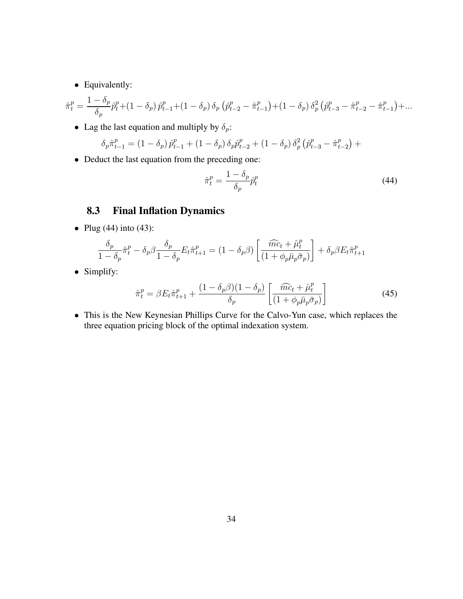• Equivalently:

$$
\hat{\pi}_t^p = \frac{1 - \delta_p}{\delta_p} \hat{p}_t^p + (1 - \delta_p) \hat{p}_{t-1}^p + (1 - \delta_p) \delta_p \left( \hat{p}_{t-2}^p - \hat{\pi}_{t-1}^p \right) + (1 - \delta_p) \delta_p^2 \left( \hat{p}_{t-3}^p - \hat{\pi}_{t-2}^p - \hat{\pi}_{t-1}^p \right) + \dots
$$

• Lag the last equation and multiply by  $\delta_p$ :

$$
\delta_p \hat{\pi}_{t-1}^p = (1 - \delta_p) \hat{p}_{t-1}^p + (1 - \delta_p) \delta_p \hat{p}_{t-2}^p + (1 - \delta_p) \delta_p^2 \left( \hat{p}_{t-3}^p - \hat{\pi}_{t-2}^p \right) +
$$

• Deduct the last equation from the preceding one:

$$
\hat{\pi}_t^p = \frac{1 - \delta_p}{\delta_p} \hat{p}_t^p \tag{44}
$$

## **8.3 Final Inflation Dynamics**

• Plug  $(44)$  into  $(43)$ :

$$
\frac{\delta_p}{1-\delta_p}\hat{\pi}^p_t-\delta_p\beta\frac{\delta_p}{1-\delta_p}E_t\hat{\pi}^p_{t+1}=(1-\delta_p\beta)\left[\frac{\widehat{mc}_t+\hat{\mu}^p_t}{(1+\phi_p\bar{\mu}_p\bar{\sigma}_p)}\right]+\delta_p\beta E_t\hat{\pi}^p_{t+1}
$$

• Simplify:

$$
\hat{\pi}_t^p = \beta E_t \hat{\pi}_{t+1}^p + \frac{(1 - \delta_p \beta)(1 - \delta_p)}{\delta_p} \left[ \frac{\widehat{mc}_t + \widehat{\mu}_t^p}{(1 + \phi_p \bar{\mu}_p \bar{\sigma}_p)} \right]
$$
(45)

• This is the New Keynesian Phillips Curve for the Calvo-Yun case, which replaces the three equation pricing block of the optimal indexation system.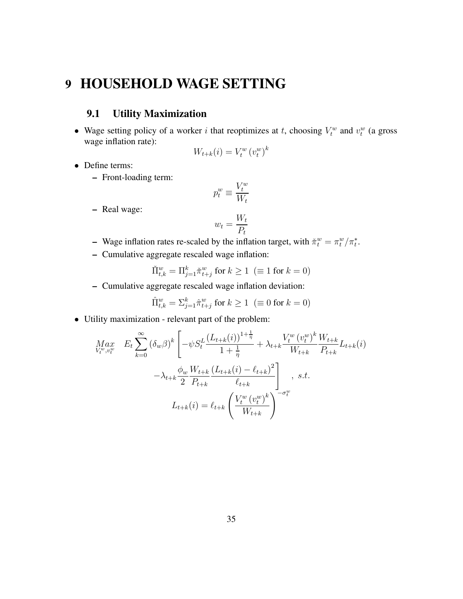# **9 HOUSEHOLD WAGE SETTING**

## **9.1 Utility Maximization**

• Wage setting policy of a worker i that reoptimizes at t, choosing  $V_t^w$  and  $v_t^w$  (a gross wage inflation rate):

$$
W_{t+k}(i) = V_t^w (v_t^w)^k
$$

- Define terms:
	- **–** Front-loading term:

$$
p_t^w \equiv \frac{V_t^w}{W_t}
$$

**–** Real wage:

$$
w_t = \frac{W_t}{P_t}
$$

- **–** Wage inflation rates re-scaled by the inflation target, with  $\tilde{\pi}_t^w = \pi_t^w / \pi_t^*$ .
- **–** Cumulative aggregate rescaled wage inflation:

$$
\check{\Pi}^w_{t,k} = \Pi^k_{j=1} \check{\pi}^w_{t+j} \text{ for } k \ge 1 \ \ (\equiv 1 \text{ for } k = 0)
$$

**–** Cumulative aggregate rescaled wage inflation deviation:

$$
\hat{\Pi}^w_{t,k} = \Sigma^k_{j=1} \hat{\pi}^w_{t+j} \text{ for } k \ge 1 \ \ (\equiv 0 \text{ for } k = 0)
$$

• Utility maximization - relevant part of the problem:

$$
Max_{V_t^w, v_t^w} E_t \sum_{k=0}^{\infty} (\delta_w \beta)^k \left[ -\psi S_t^L \frac{(L_{t+k}(i))^{1+\frac{1}{\eta}}}{1+\frac{1}{\eta}} + \lambda_{t+k} \frac{V_t^w (v_t^w)^k}{W_{t+k}} \frac{W_{t+k}}{P_{t+k}} L_{t+k}(i) - \lambda_{t+k} \frac{\phi_w W_{t+k}}{2} \frac{(L_{t+k}(i) - \ell_{t+k})^2}{\ell_{t+k}} \right]_{t, s.t.}
$$
  

$$
L_{t+k}(i) = \ell_{t+k} \left( \frac{V_t^w (v_t^w)^k}{W_{t+k}} \right)^{-\sigma_t^w}
$$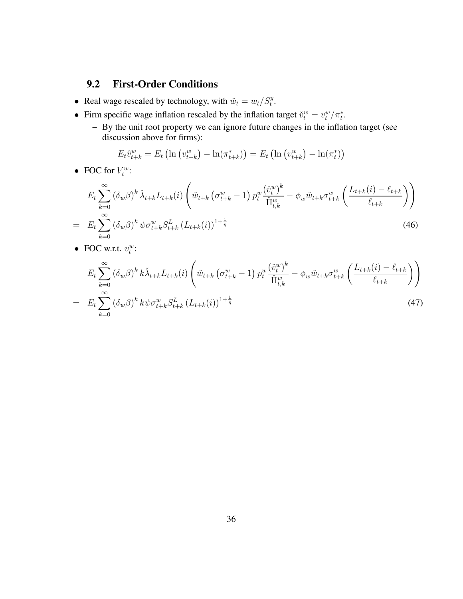## **9.2 First-Order Conditions**

- Real wage rescaled by technology, with  $\tilde{w}_t = w_t / S_t^y$ .
- Firm specific wage inflation rescaled by the inflation target  $\tilde{v}_t^w = v_t^w / \pi_t^*$ .
	- **–** By the unit root property we can ignore future changes in the inflation target (see discussion above for firms):

$$
E_t \hat{v}_{t+k}^w = E_t \left( \ln \left( v_{t+k}^w \right) - \ln(\pi_{t+k}^*) \right) = E_t \left( \ln \left( v_{t+k}^w \right) - \ln(\pi_t^*) \right)
$$

• FOC for  $V_t^w$ :

$$
E_{t} \sum_{k=0}^{\infty} (\delta_{w}\beta)^{k} \tilde{\lambda}_{t+k} L_{t+k}(i) \left( \tilde{w}_{t+k} \left( \sigma_{t+k}^{w} - 1 \right) p_{t}^{w} \frac{(\tilde{v}_{t}^{w})^{k}}{\tilde{\Pi}_{t,k}^{w}} - \phi_{w} \tilde{w}_{t+k} \sigma_{t+k}^{w} \left( \frac{L_{t+k}(i) - \ell_{t+k}}{\ell_{t+k}} \right) \right)
$$
  
= 
$$
E_{t} \sum_{k=0}^{\infty} (\delta_{w}\beta)^{k} \psi \sigma_{t+k}^{w} S_{t+k}^{L} (L_{t+k}(i))^{1+\frac{1}{\eta}}
$$
(46)

• FOC w.r.t.  $v_t^w$ :

$$
E_{t} \sum_{k=0}^{\infty} (\delta_{w}\beta)^{k} k \check{\lambda}_{t+k} L_{t+k}(i) \left( \check{w}_{t+k} \left( \sigma_{t+k}^{w} - 1 \right) p_{t}^{w} \frac{(\check{v}_{t}^{w})^{k}}{\check{\Pi}_{t,k}^{w}} - \phi_{w} \check{w}_{t+k} \sigma_{t+k}^{w} \left( \frac{L_{t+k}(i) - \ell_{t+k}}{\ell_{t+k}} \right) \right)
$$
  
= 
$$
E_{t} \sum_{k=0}^{\infty} (\delta_{w}\beta)^{k} k \psi \sigma_{t+k}^{w} S_{t+k}^{L} (L_{t+k}(i))^{1+\frac{1}{\eta}}
$$
(47)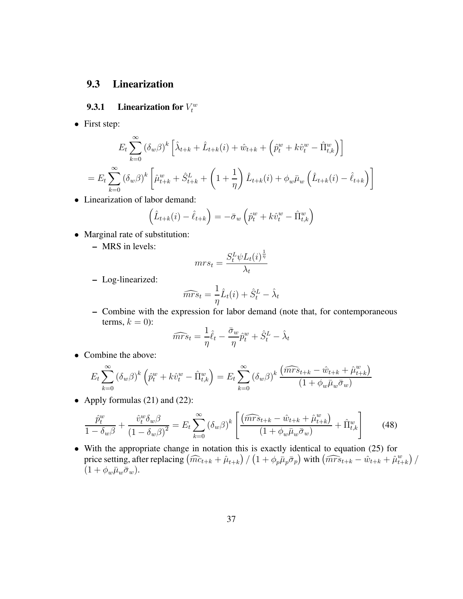## **9.3 Linearization**

## **9.3.1** Linearization for  $V_t^w$

• First step:

$$
E_t \sum_{k=0}^{\infty} (\delta_w \beta)^k \left[ \hat{\lambda}_{t+k} + \hat{L}_{t+k}(i) + \hat{w}_{t+k} + \left( \hat{p}_t^w + k \hat{v}_t^w - \hat{\Pi}_{t,k}^w \right) \right]
$$
  
= 
$$
E_t \sum_{k=0}^{\infty} (\delta_w \beta)^k \left[ \hat{\mu}_{t+k}^w + \hat{S}_{t+k}^L + \left( 1 + \frac{1}{\eta} \right) \hat{L}_{t+k}(i) + \phi_w \bar{\mu}_w \left( \hat{L}_{t+k}(i) - \hat{\ell}_{t+k} \right) \right]
$$

• Linearization of labor demand:

$$
\left(\hat{L}_{t+k}(i) - \hat{\ell}_{t+k}\right) = -\bar{\sigma}_w \left(\hat{p}_t^w + k\hat{v}_t^w - \hat{\Pi}_{t,k}^w\right)
$$

- Marginal rate of substitution:
	- **–** MRS in levels:

$$
mrs_t = \frac{S_t^L \psi L_t(i)^{\frac{1}{\eta}}}{\lambda_t}
$$

**–** Log-linearized:

$$
\widehat{mrs}_t = \frac{1}{\eta}\hat{L}_t(i) + \hat{S}_t^L - \hat{\lambda}_t
$$

**–** Combine with the expression for labor demand (note that, for contemporaneous terms,  $k = 0$ :

$$
\widehat{mrs}_t = \frac{1}{\eta}\hat{\ell}_t - \frac{\bar{\sigma}_w}{\eta}\hat{p}_t^w + \hat{S}_t^L - \hat{\lambda}_t
$$

• Combine the above:

$$
E_t \sum_{k=0}^{\infty} (\delta_w \beta)^k \left( \hat{p}_t^w + k \hat{v}_t^w - \hat{\Pi}_{t,k}^w \right) = E_t \sum_{k=0}^{\infty} (\delta_w \beta)^k \frac{(\widehat{mrs}_{t+k} - \hat{w}_{t+k} + \hat{\mu}_{t+k}^w)}{(1 + \phi_w \bar{\mu}_w \bar{\sigma}_w)}
$$

• Apply formulas (21) and (22):

$$
\frac{\hat{p}_t^w}{1 - \delta_w \beta} + \frac{\hat{v}_t^w \delta_w \beta}{(1 - \delta_w \beta)^2} = E_t \sum_{k=0}^{\infty} (\delta_w \beta)^k \left[ \frac{(\widehat{mrs}_{t+k} - \hat{w}_{t+k} + \hat{\mu}_{t+k}^w)}{(1 + \phi_w \bar{\mu}_w \bar{\sigma}_w)} + \hat{\Pi}_{t,k}^w \right] \tag{48}
$$

• With the appropriate change in notation this is exactly identical to equation (25) for price setting, after replacing  $\left(\widehat{mc}_{t+k} + \widehat{\mu}_{t+k}\right) / \left(1 + \phi_p \overline{\mu}_p \overline{\sigma}_p\right)$  with  $\left(\widehat{mrs}_{t+k} - \widehat{w}_{t+k} + \widehat{\mu}_{t-k}^w\right)$  $\binom{w}{t+k}$  $(1+\phi_w\bar{\mu}_w\bar{\sigma}_w).$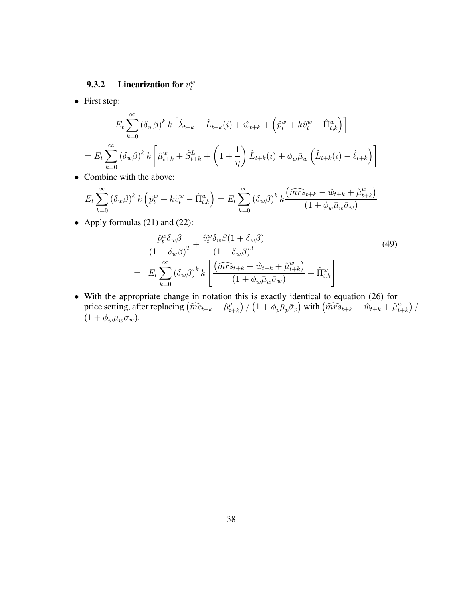## **9.3.2** Linearization for  $v_t^w$

• First step:

$$
E_{t} \sum_{k=0}^{\infty} (\delta_{w}\beta)^{k} k \left[ \hat{\lambda}_{t+k} + \hat{L}_{t+k}(i) + \hat{w}_{t+k} + \left( \hat{p}_{t}^{w} + k\hat{v}_{t}^{w} - \hat{\Pi}_{t,k}^{w} \right) \right]
$$
  
= 
$$
E_{t} \sum_{k=0}^{\infty} (\delta_{w}\beta)^{k} k \left[ \hat{\mu}_{t+k}^{w} + \hat{S}_{t+k}^{L} + \left( 1 + \frac{1}{\eta} \right) \hat{L}_{t+k}(i) + \phi_{w}\bar{\mu}_{w} \left( \hat{L}_{t+k}(i) - \hat{\ell}_{t+k} \right) \right]
$$

• Combine with the above:

$$
E_t \sum_{k=0}^{\infty} (\delta_w \beta)^k k \left( \hat{p}_t^w + k \hat{v}_t^w - \hat{\Pi}_{t,k}^w \right) = E_t \sum_{k=0}^{\infty} (\delta_w \beta)^k k \frac{(\widehat{mrs}_{t+k} - \hat{w}_{t+k} + \hat{\mu}_{t+k}^w)}{(1 + \phi_w \bar{\mu}_w \bar{\sigma}_w)}
$$

• Apply formulas (21) and (22):

$$
\frac{\hat{p}_t^w \delta_w \beta}{\left(1 - \delta_w \beta\right)^2} + \frac{\hat{v}_t^w \delta_w \beta \left(1 + \delta_w \beta\right)}{\left(1 - \delta_w \beta\right)^3} \n= E_t \sum_{k=0}^{\infty} \left(\delta_w \beta\right)^k k \left[\frac{\left(\widehat{mrs}_{t+k} - \hat{w}_{t+k} + \hat{\mu}_{t+k}^w\right)}{\left(1 + \phi_w \bar{\mu}_w \bar{\sigma}_w\right)} + \hat{\Pi}_{t,k}^w\right]
$$
\n(49)

• With the appropriate change in notation this is exactly identical to equation (26) for price setting, after replacing  $\left(\widehat{mc}_{t+k} + \widehat{\mu}_t^p\right)$  $\left(p_{t+k}\right)/\left(1+\phi_{p}\bar{\mu}_{p}\bar{\sigma}_{p}\right)$  with  $\left(\widehat{mrs}_{t+k}-\hat{w}_{t+k}+\hat{\mu}_{t+k}^{w}\right)$  $\binom{w}{t+k}$  $(1+\phi_w\bar{\mu}_w\bar{\sigma}_w).$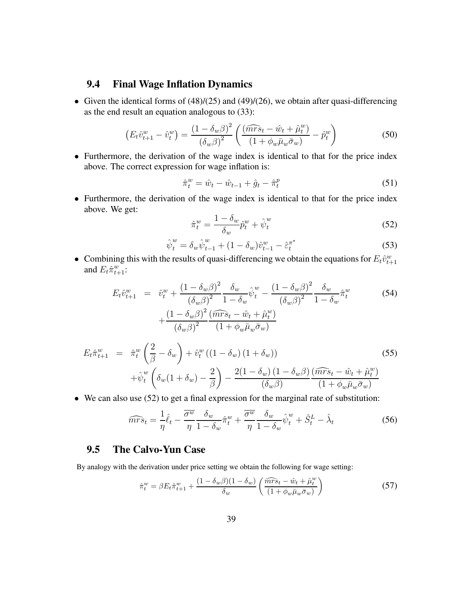### **9.4 Final Wage Inflation Dynamics**

• Given the identical forms of  $(48)/(25)$  and  $(49)/(26)$ , we obtain after quasi-differencing as the end result an equation analogous to (33):

$$
\left(E_t \hat{v}_{t+1}^w - \hat{v}_t^w\right) = \frac{\left(1 - \delta_w \beta\right)^2}{\left(\delta_w \beta\right)^2} \left(\frac{\left(\widehat{mrs}_t - \hat{w}_t + \hat{\mu}_t^w\right)}{\left(1 + \phi_w \bar{\mu}_w \bar{\sigma}_w\right)} - \hat{p}_t^w\right) \tag{50}
$$

• Furthermore, the derivation of the wage index is identical to that for the price index above. The correct expression for wage inflation is:

$$
\hat{\pi}_t^w = \hat{w}_t - \hat{w}_{t-1} + \hat{g}_t - \hat{\pi}_t^p \tag{51}
$$

• Furthermore, the derivation of the wage index is identical to that for the price index above. We get:

$$
\hat{\pi}_t^w = \frac{1 - \delta_w}{\delta_w} \hat{p}_t^w + \hat{\psi}_t^w \tag{52}
$$

$$
\hat{\psi}_t^w = \delta_w \hat{\psi}_{t-1}^w + (1 - \delta_w) \hat{v}_{t-1}^w - \hat{\varepsilon}_t^{\pi^*}
$$
\n(53)

• Combining this with the results of quasi-differencing we obtain the equations for  $E_t \hat{v}_{t+1}^w$ and  $E_t \hat{\pi}_{t+1}^w$ :

$$
E_t \hat{v}_{t+1}^w = \hat{v}_t^w + \frac{(1 - \delta_w \beta)^2}{(\delta_w \beta)^2} \frac{\delta_w}{1 - \delta_w} \hat{v}_t^w - \frac{(1 - \delta_w \beta)^2}{(\delta_w \beta)^2} \frac{\delta_w}{1 - \delta_w} \hat{\pi}_t^w + \frac{(1 - \delta_w \beta)^2}{(\delta_w \beta)^2} \frac{(\widehat{mrs}_t - \hat{w}_t + \hat{\mu}_t^w)}{(1 + \phi_w \bar{\mu}_w \bar{\sigma}_w)}
$$
(54)

$$
E_t \hat{\pi}_{t+1}^w = \hat{\pi}_t^w \left(\frac{2}{\beta} - \delta_w\right) + \hat{v}_t^w \left((1 - \delta_w)(1 + \delta_w)\right)
$$
  
 
$$
+ \hat{\psi}_t^w \left(\delta_w (1 + \delta_w) - \frac{2}{\beta}\right) - \frac{2(1 - \delta_w)(1 - \delta_w \beta)}{(\delta_w \beta)} \frac{(\widehat{mrs}_t - \hat{w}_t + \hat{\mu}_t^w)}{(1 + \phi_w \bar{\mu}_w \bar{\sigma}_w)}
$$
(55)

• We can also use (52) to get a final expression for the marginal rate of substitution:

$$
\widehat{mrs}_t = \frac{1}{\eta}\widehat{\ell}_t - \frac{\overline{\sigma^w}}{\eta} \frac{\delta_w}{1 - \delta_w} \widehat{\pi}_t^w + \frac{\overline{\sigma^w}}{\eta} \frac{\delta_w}{1 - \delta_w} \widehat{\psi}_t^w + \widehat{S}_t^L - \widehat{\lambda}_t \tag{56}
$$

#### **9.5 The Calvo-Yun Case**

By analogy with the derivation under price setting we obtain the following for wage setting:

$$
\hat{\pi}_t^w = \beta E_t \hat{\pi}_{t+1}^w + \frac{(1 - \delta_w \beta)(1 - \delta_w)}{\delta_w} \left( \frac{\widehat{mrs}_t - \hat{w}_t + \hat{\mu}_t^w}{(1 + \phi_w \bar{\mu}_w \bar{\sigma}_w)} \right)
$$
(57)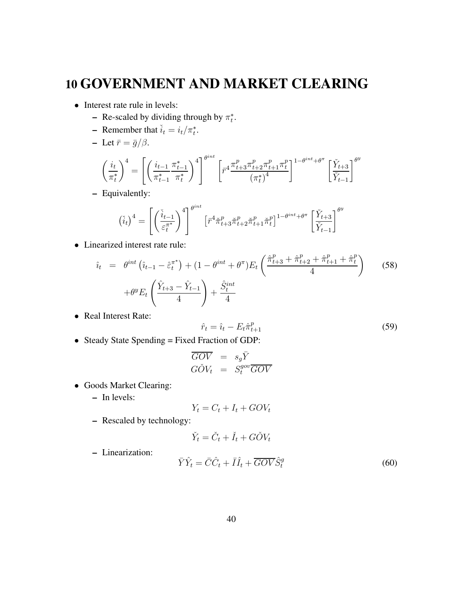# **10 GOVERNMENT AND MARKET CLEARING**

- Interest rate rule in levels:
	- **–** Re-scaled by dividing through by  $\pi_t^*$ .
	- **–** Remember that  $\tilde{i}_t = i_t / \pi_t^*$ .
	- **–** Let  $\bar{r} = \bar{g}/\beta$ .

$$
\left(\frac{i_t}{\pi_t^*}\right)^4 = \left[ \left(\frac{i_{t-1}}{\pi_{t-1}^*} \frac{\pi_{t-1}^*}{\pi_t^*}\right)^4 \right]^{\theta^{int}} \left[ r^4 \frac{\pi_{t+3}^p \pi_{t+2}^p \pi_{t+1}^p \pi_t^p}{\left(\pi_t^*\right)^4} \right]^{1-\theta^{int} + \theta^{\pi}} \left[ \frac{\check{Y}_{t+3}}{\check{Y}_{t-1}} \right]^{\theta^y}
$$

**–** Equivalently:

$$
\left(\check{i}_{t}\right)^{4} = \left[\left(\frac{\check{i}_{t-1}}{\varepsilon_{t}^{\pi^{*}}}\right)^{4}\right]^{\theta^{int}} \left[\bar{r}^{4}\check{\pi}_{t+3}^{p}\check{\pi}_{t+2}^{p}\check{\pi}_{t+1}^{p}\check{\pi}_{t}^{p}\right]^{1-\theta^{int}+\theta^{\pi}} \left[\frac{\check{Y}_{t+3}}{\check{Y}_{t-1}}\right]^{\theta^{y}}
$$

• Linearized interest rate rule:

$$
\hat{i}_{t} = \theta^{int} \left( \hat{i}_{t-1} - \hat{\varepsilon}_{t}^{\pi^{*}} \right) + (1 - \theta^{int} + \theta^{\pi}) E_{t} \left( \frac{\hat{\pi}_{t+3}^{p} + \hat{\pi}_{t+2}^{p} + \hat{\pi}_{t+1}^{p} + \hat{\pi}_{t}^{p}}{4} \right) \tag{58}
$$
\n
$$
+ \theta^{y} E_{t} \left( \frac{\hat{Y}_{t+3} - \hat{Y}_{t-1}}{4} \right) + \frac{\hat{S}_{t}^{int}}{4}
$$

• Real Interest Rate:

$$
\hat{r}_t = \hat{i}_t - E_t \hat{\pi}_{t+1}^p \tag{59}
$$

• Steady State Spending = Fixed Fraction of GDP:

$$
\begin{array}{rcl}\n\overline{GOV} & = & s_g \bar{Y} \\
G\check{O}V_t & = & S_t^{gov} \overline{GOV}\n\end{array}
$$

- Goods Market Clearing:
	- **–** In levels:

$$
Y_t = C_t + I_t + GOV_t
$$

**–** Rescaled by technology:

$$
\check{Y}_t = \check{C}_t + \check{I}_t + G\check{O}V_t
$$

**–** Linearization:

$$
\bar{Y}\hat{Y}_t = \bar{C}\hat{C}_t + \bar{I}\hat{I}_t + \overline{GOV}\hat{S}_t^g
$$
\n(60)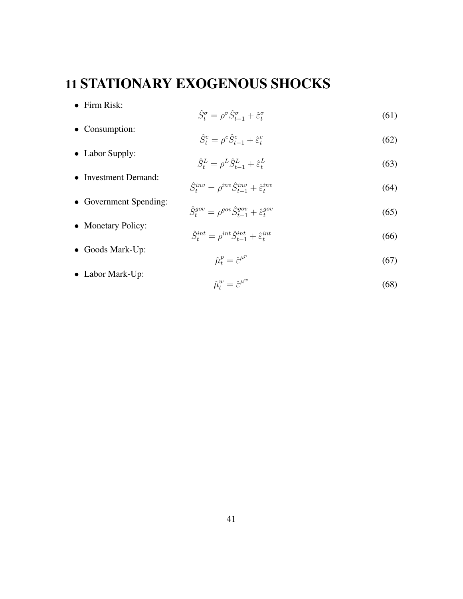# **11 STATIONARY EXOGENOUS SHOCKS**

• Firm Risk:

• Consumption:

• Labor Supply:

• Investment Demand:

• Government Spending:

• Monetary Policy:

• Goods Mark-Up:

• Labor Mark-Up:

$$
\hat{S}_t^{\sigma} = \rho^{\sigma} \hat{S}_{t-1}^{\sigma} + \hat{\varepsilon}_t^{\sigma} \tag{61}
$$

$$
\hat{S}_t^c = \rho^c \hat{S}_{t-1}^c + \hat{\varepsilon}_t^c \tag{62}
$$

$$
\hat{S}_t^L = \rho^L \hat{S}_{t-1}^L + \hat{\varepsilon}_t^L \tag{63}
$$

$$
\hat{S}_t^{inv} = \rho^{inv} \hat{S}_{t-1}^{inv} + \hat{\varepsilon}_t^{inv}
$$
\n(64)

$$
\hat{S}_t^{gov} = \rho^{gov} \hat{S}_{t-1}^{gov} + \hat{\varepsilon}_t^{gov} \tag{65}
$$

$$
\hat{S}_t^{int} = \rho^{int} \hat{S}_{t-1}^{int} + \hat{\varepsilon}_t^{int}
$$
\n(66)

$$
\hat{\mu}_t^p = \hat{\varepsilon}^{\mu^p} \tag{67}
$$

$$
\hat{\mu}_t^w = \hat{\varepsilon}^{\mu^w} \tag{68}
$$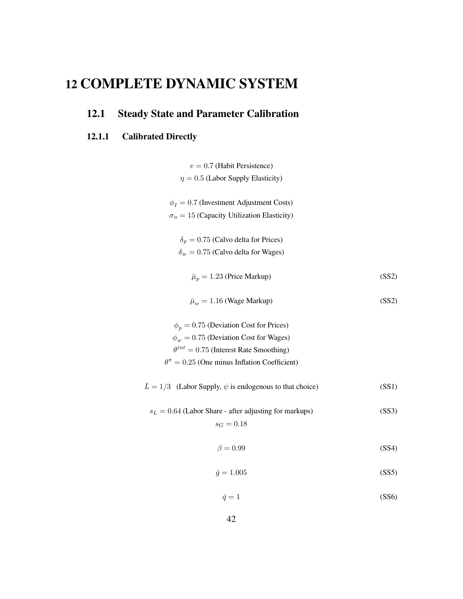# **12 COMPLETE DYNAMIC SYSTEM**

# **12.1 Steady State and Parameter Calibration**

## **12.1.1 Calibrated Directly**

| $v = 0.7$ (Habit Persistence)                                            |       |
|--------------------------------------------------------------------------|-------|
| $\eta = 0.5$ (Labor Supply Elasticity)                                   |       |
| $\phi_I = 0.7$ (Investment Adjustment Costs)                             |       |
| $\sigma_a = 15$ (Capacity Utilization Elasticity)                        |       |
| $\delta_p = 0.75$ (Calvo delta for Prices)                               |       |
| $\delta_w = 0.75$ (Calvo delta for Wages)                                |       |
| $\bar{\mu}_p = 1.23$ (Price Markup)                                      | (SS2) |
| $\bar{\mu}_w = 1.16$ (Wage Markup)                                       | (SS2) |
| $\phi_p = 0.75$ (Deviation Cost for Prices)                              |       |
| $\phi_w = 0.75$ (Deviation Cost for Wages)                               |       |
| $\theta^{int} = 0.75$ (Interest Rate Smoothing)                          |       |
| $\theta^{\pi}=0.25$ (One minus Inflation Coefficient)                    |       |
| $\overline{L} = 1/3$ (Labor Supply, $\psi$ is endogenous to that choice) | (SS1) |
| $s_L = 0.64$ (Labor Share - after adjusting for markups)                 | (SS3) |
| $s_G = 0.18$                                                             |       |
| $\beta = 0.99$                                                           | (SS4) |
| $\bar{q}=1.005$                                                          | (SS5) |

$$
\bar{q} = 1 \tag{SS6}
$$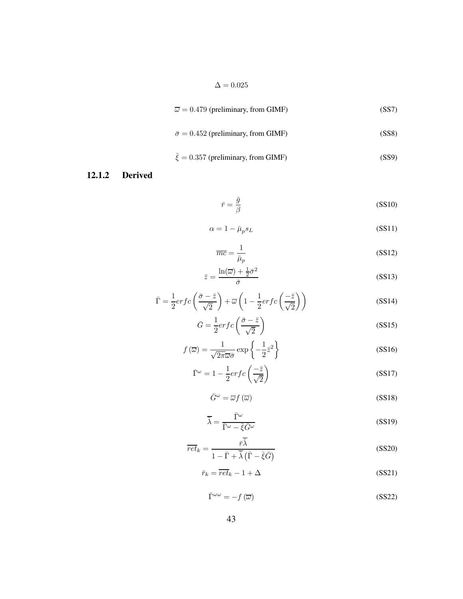$$
\overline{\omega} = 0.479 \text{ (preliminary, from GIMF)} \tag{SS7}
$$

$$
\bar{\sigma} = 0.452 \text{ (preliminary, from GIMF)} \tag{SS8}
$$

$$
\bar{\xi} = 0.357 \text{ (preliminary, from GIMF)} \tag{SS9}
$$

### **12.1.2 Derived**

$$
\bar{r} = \frac{\bar{g}}{\beta} \tag{SS10}
$$

$$
\alpha = 1 - \bar{\mu}_p s_L \tag{SS11}
$$

$$
\overline{mc} = \frac{1}{\overline{\mu}_p} \tag{SS12}
$$

$$
\bar{z} = \frac{\ln(\overline{\omega}) + \frac{1}{2}\bar{\sigma}^2}{\bar{\sigma}}
$$
 (SS13)

$$
\bar{\Gamma} = \frac{1}{2} erfc\left(\frac{\bar{\sigma} - \bar{z}}{\sqrt{2}}\right) + \overline{\omega}\left(1 - \frac{1}{2} erfc\left(\frac{-\bar{z}}{\sqrt{2}}\right)\right)
$$
(SS14)

$$
\bar{G} = \frac{1}{2} erfc\left(\frac{\bar{\sigma} - \bar{z}}{\sqrt{2}}\right)
$$
 (SS15)

$$
f(\overline{\omega}) = \frac{1}{\sqrt{2\pi\omega}\sigma} \exp\left\{-\frac{1}{2}\bar{z}^2\right\}
$$
 (SS16)

$$
\bar{\Gamma}^{\omega} = 1 - \frac{1}{2} erfc\left(\frac{-\bar{z}}{\sqrt{2}}\right)
$$
 (SS17)

$$
\bar{G}^{\omega} = \overline{\omega} f(\overline{\omega})
$$
 (SS18)

$$
\overline{\tilde{\lambda}} = \frac{\overline{\Gamma}^{\omega}}{\overline{\Gamma}^{\omega} - \overline{\xi}\overline{G}^{\omega}}
$$
 (SS19)

$$
\overline{ret}_k = \frac{\overline{r\tilde{\lambda}}}{1 - \overline{\Gamma} + \overline{\tilde{\lambda}} \left( \overline{\Gamma} - \overline{\xi} \overline{G} \right)}
$$
(SS20)

$$
\bar{r}_k = \overline{ret}_k - 1 + \Delta \tag{SS21}
$$

$$
\bar{\Gamma}^{\omega\omega} = -f(\overline{\omega})\tag{SS22}
$$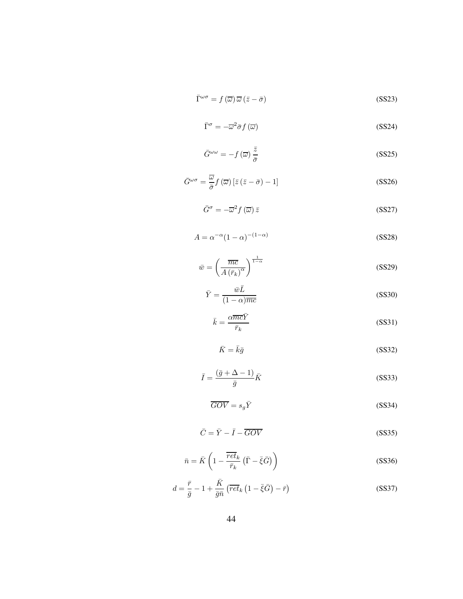$$
\bar{\Gamma}^{\omega\sigma} = f(\overline{\omega})\,\overline{\omega}\,(\bar{z} - \bar{\sigma})\tag{SS23}
$$

$$
\bar{\Gamma}^{\sigma} = -\overline{\omega}^2 \bar{\sigma} f(\overline{\omega}) \tag{SS24}
$$

$$
\bar{G}^{\omega\omega} = -f(\overline{\omega})\frac{\bar{z}}{\bar{\sigma}} \tag{SS25}
$$

$$
\bar{G}^{\omega\sigma} = \frac{\overline{\omega}}{\bar{\sigma}} f(\overline{\omega}) \left[ \bar{z} \left( \bar{z} - \bar{\sigma} \right) - 1 \right]
$$
 (SS26)

$$
\bar{G}^{\sigma} = -\overline{\omega}^2 f(\overline{\omega}) \,\overline{z} \tag{SS27}
$$

$$
A = \alpha^{-\alpha} (1 - \alpha)^{-(1 - \alpha)}
$$
 (SS28)

$$
\bar{w} = \left(\frac{\overline{mc}}{A\left(\bar{r}_k\right)^{\alpha}}\right)^{\frac{1}{1-\alpha}}
$$
\n(SS29)

$$
\bar{Y} = \frac{\bar{w}\bar{L}}{(1-\alpha)\overline{mc}}\tag{SS30}
$$

$$
\bar{k} = \frac{\alpha \overline{m} \overline{c} \overline{Y}}{\overline{r}_k} \tag{SS31}
$$

$$
\bar{K} = \bar{k}\bar{g} \tag{SS32}
$$

$$
\bar{I} = \frac{(\bar{g} + \Delta - 1)}{\bar{g}} \bar{K}
$$
 (SS33)

$$
\overline{GOV} = s_g \overline{Y}
$$
 (SS34)

$$
\bar{C} = \bar{Y} - \bar{I} - \overline{GOV} \tag{SS35}
$$

$$
\bar{n} = \bar{K} \left( 1 - \frac{\overline{ret}_k}{\overline{r}_k} \left( \bar{\Gamma} - \bar{\xi} \bar{G} \right) \right)
$$
 (SS36)

$$
d = \frac{\bar{r}}{\bar{g}} - 1 + \frac{\bar{K}}{\bar{g}\bar{n}} \left( \overline{ret}_k \left( 1 - \bar{\xi}\bar{G} \right) - \bar{r} \right)
$$
 (SS37)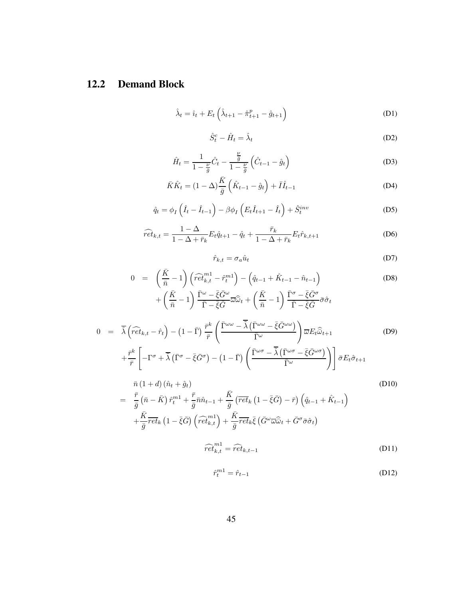## **12.2 Demand Block**

$$
\hat{\lambda}_t = \hat{\imath}_t + E_t \left( \hat{\lambda}_{t+1} - \hat{\pi}_{t+1}^p - \hat{g}_{t+1} \right)
$$
\n(D1)

$$
\hat{S}_t^c - \hat{H}_t = \hat{\lambda}_t \tag{D2}
$$

$$
\hat{H}_t = \frac{1}{1 - \frac{\nu}{\bar{g}}} \hat{C}_t - \frac{\frac{\nu}{\bar{g}}}{1 - \frac{\nu}{\bar{g}}} \left( \hat{C}_{t-1} - \hat{g}_t \right)
$$
\n(D3)

$$
\bar{K}\hat{K}_t = (1 - \Delta)\frac{\bar{K}}{\bar{g}}\left(\hat{K}_{t-1} - \hat{g}_t\right) + \bar{I}\hat{I}_{t-1}
$$
\n(D4)

$$
\hat{q}_t = \phi_I \left( \hat{I}_t - \hat{I}_{t-1} \right) - \beta \phi_I \left( E_t \hat{I}_{t+1} - \hat{I}_t \right) + \hat{S}_t^{inv}
$$
\n(D5)

$$
\widehat{ret}_{k,t} = \frac{1 - \Delta}{1 - \Delta + \bar{r}_k} E_t \hat{q}_{t+1} - \hat{q}_t + \frac{\bar{r}_k}{1 - \Delta + \bar{r}_k} E_t \hat{r}_{k,t+1}
$$
(D6)

$$
\hat{r}_{k,t} = \sigma_a \hat{u}_t \tag{D7}
$$

$$
0 = \left(\frac{\bar{K}}{\bar{n}} - 1\right) \left(\widehat{ret}_{k,t}^{m1} - \widehat{r}_t^{m1}\right) - \left(\widehat{q}_{t-1} + \widehat{K}_{t-1} - \widehat{n}_{t-1}\right) \tag{D8}
$$

$$
+ \left(\frac{\bar{K}}{\bar{n}} - 1\right) \frac{\bar{\Gamma}^{\omega} - \bar{\xi}\bar{G}^{\omega}}{\bar{\Gamma} - \bar{\xi}\bar{G}} \overline{\omega}\widehat{\omega}_t + \left(\frac{\bar{K}}{\bar{n}} - 1\right) \frac{\bar{\Gamma}^{\sigma} - \bar{\xi}\bar{G}^{\sigma}}{\bar{\Gamma} - \bar{\xi}\bar{G}} \overline{\sigma}\widehat{\sigma}_t
$$

$$
0 = \overline{\tilde{\lambda}} \left( \widehat{ret}_{k,t} - \hat{r}_t \right) - \left( 1 - \overline{\Gamma} \right) \frac{\bar{r}^k}{\bar{r}} \left( \frac{\overline{\Gamma}^{\omega \omega} - \overline{\tilde{\lambda}} \left( \overline{\Gamma}^{\omega \omega} - \overline{\xi} \overline{G}^{\omega \omega} \right)}{\overline{\Gamma}^{\omega}} \right) \overline{\omega} E_t \widehat{\omega}_{t+1}
$$
(D9)  
+ 
$$
\frac{\bar{r}^k}{\bar{r}} \left[ -\Gamma^{\sigma} + \overline{\tilde{\lambda}} \left( \overline{\Gamma}^{\sigma} - \overline{\xi} \overline{G}^{\sigma} \right) - \left( 1 - \overline{\Gamma} \right) \left( \frac{\overline{\Gamma}^{\omega \sigma} - \overline{\tilde{\lambda}} \left( \overline{\Gamma}^{\omega \sigma} - \overline{\xi} \overline{G}^{\omega \sigma} \right)}{\overline{\Gamma}^{\omega}} \right) \right] \bar{\sigma} E_t \hat{\sigma}_{t+1}
$$

$$
\bar{n}(1+d)(\hat{n}_t + \hat{g}_t)
$$
\n
$$
= \frac{\bar{r}}{\bar{g}} (\bar{n} - \bar{K}) \hat{r}_t^{m1} + \frac{\bar{r}}{\bar{g}} \bar{n} \hat{n}_{t-1} + \frac{\bar{K}}{\bar{g}} (\overline{ret}_k (1 - \bar{\xi} \bar{G}) - \bar{r}) (\hat{q}_{t-1} + \hat{K}_{t-1})
$$
\n
$$
+ \frac{\bar{K}}{\bar{g}} \overline{ret}_k (1 - \bar{\xi} \bar{G}) (\widehat{ret}_{k,t}^{m1}) + \frac{\bar{K}}{\bar{g}} \overline{ret}_k \bar{\xi} (\bar{G}^{\omega} \overline{\omega} \hat{\omega}_t + \bar{G}^{\sigma} \bar{\sigma} \hat{\sigma}_t)
$$
\n
$$
\widehat{ret}_{k,t}^{m1} = \widehat{ret}_{k,t-1}
$$
\n(D11)

$$
\hat{r}_t^{m1} = \hat{r}_{t-1} \tag{D12}
$$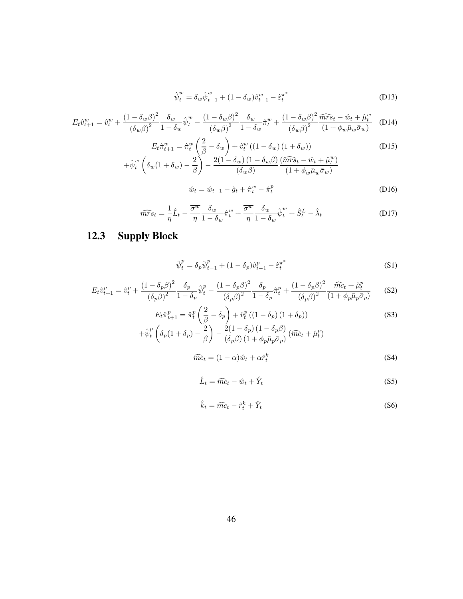$$
\hat{\psi}_t^w = \delta_w \hat{\psi}_{t-1}^w + (1 - \delta_w) \hat{v}_{t-1}^w - \hat{\varepsilon}_t^{\pi^*}
$$
\n(D13)

$$
E_t \hat{v}_{t+1}^w = \hat{v}_t^w + \frac{\left(1 - \delta_w \beta\right)^2}{\left(\delta_w \beta\right)^2} \frac{\delta_w}{1 - \delta_w} \hat{\psi}_t^w - \frac{\left(1 - \delta_w \beta\right)^2}{\left(\delta_w \beta\right)^2} \frac{\delta_w}{1 - \delta_w} \hat{\pi}_t^w + \frac{\left(1 - \delta_w \beta\right)^2}{\left(\delta_w \beta\right)^2} \frac{\widehat{mrs}_t - \hat{w}_t + \hat{\mu}_t^w}{\left(1 + \phi_w \bar{\mu}_w \bar{\sigma}_w\right)} \tag{D14}
$$

$$
E_t \hat{\pi}_{t+1}^w = \hat{\pi}_t^w \left(\frac{2}{\beta} - \delta_w\right) + \hat{v}_t^w \left((1 - \delta_w)(1 + \delta_w)\right)
$$
(D15)  
 
$$
+ \hat{\psi}_t^w \left(\delta_w (1 + \delta_w) - \frac{2}{\beta}\right) - \frac{2(1 - \delta_w)(1 - \delta_w \beta)}{(\delta_w \beta)} \frac{(\widehat{mrs}_t - \hat{w}_t + \hat{\mu}_t^w)}{(1 + \phi_w \bar{\mu}_w \bar{\sigma}_w)}
$$

$$
\hat{w}_t = \hat{w}_{t-1} - \hat{g}_t + \hat{\pi}_t^w - \hat{\pi}_t^p \tag{D16}
$$

$$
\widehat{mrs}_t = \frac{1}{\eta}\hat{L}_t - \frac{\overline{\sigma^w}}{\eta}\frac{\delta_w}{1 - \delta_w}\hat{\pi}_t^w + \frac{\overline{\sigma^w}}{\eta}\frac{\delta_w}{1 - \delta_w}\hat{\psi}_t^w + \hat{S}_t^L - \hat{\lambda}_t
$$
 (D17)

# **12.3 Supply Block**

$$
\hat{\psi}_t^p = \delta_p \hat{\psi}_{t-1}^p + (1 - \delta_p) \hat{v}_{t-1}^p - \hat{\varepsilon}_t^{\pi^*}
$$
\n(S1)

$$
E_t \hat{v}_{t+1}^p = \hat{v}_t^p + \frac{(1 - \delta_p \beta)^2}{(\delta_p \beta)^2} \frac{\delta_p}{1 - \delta_p} \hat{v}_t^p - \frac{(1 - \delta_p \beta)^2}{(\delta_p \beta)^2} \frac{\delta_p}{1 - \delta_p} \hat{\pi}_t^p + \frac{(1 - \delta_p \beta)^2}{(\delta_p \beta)^2} \frac{\widehat{mc}_t + \widehat{\mu}_t^p}{(1 + \phi_p \bar{\mu}_p \bar{\sigma}_p)}
$$
(S2)

$$
E_t \hat{\pi}_{t+1}^p = \hat{\pi}_t^p \left(\frac{2}{\beta} - \delta_p\right) + \hat{v}_t^p \left((1 - \delta_p)(1 + \delta_p)\right)
$$
(S3)  

$$
\hat{v} \left(\xi \left(1 + \xi\right) - \frac{2}{\beta} \right) - 2(1 - \delta_p)(1 - \delta_p \beta) \left(\xi \left(1 + \hat{\xi}^p\right)\right)
$$

$$
+\hat{\psi}_t^p \left(\delta_p(1+\delta_p) - \frac{2}{\beta}\right) - \frac{2(1-\delta_p)(1-\delta_p\beta)}{(\delta_p\beta)(1+\phi_p\bar{\mu}_p\bar{\sigma}_p)}(\widehat{mc}_t + \widehat{\mu}_t^p)
$$

$$
\widehat{mc}_t = (1 - \alpha)\widehat{w}_t + \alpha \widehat{r}_t^k \tag{S4}
$$

$$
\hat{L}_t = \widehat{mc}_t - \hat{w}_t + \hat{Y}_t \tag{S5}
$$

$$
\hat{k}_t = \widehat{mc}_t - \hat{r}_t^k + \hat{Y}_t \tag{S6}
$$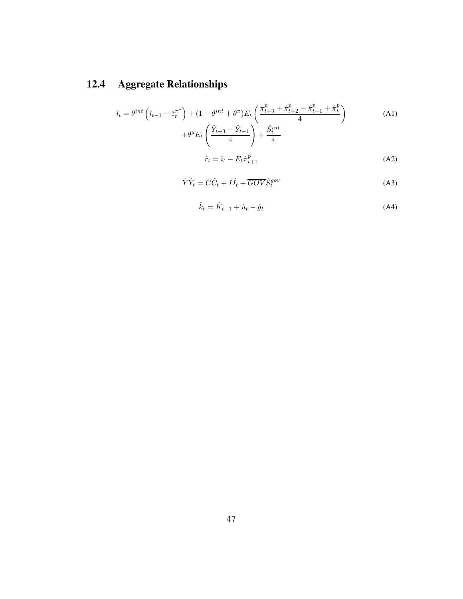# **12.4 Aggregate Relationships**

$$
\hat{i}_t = \theta^{int} \left( \hat{i}_{t-1} - \hat{\varepsilon}_t^{\pi^*} \right) + (1 - \theta^{int} + \theta^{\pi}) E_t \left( \frac{\hat{\pi}_{t+3}^p + \hat{\pi}_{t+2}^p + \hat{\pi}_{t+1}^p + \hat{\pi}_t^p}{4} \right) + \theta^y E_t \left( \frac{\hat{Y}_{t+3} - \hat{Y}_{t-1}}{4} \right) + \frac{\hat{S}_t^{int}}{4}
$$
\n(A1)

$$
\hat{r}_t = \hat{i}_t - E_t \hat{\pi}_{t+1}^p \tag{A2}
$$

$$
\bar{Y}\hat{Y}_t = \bar{C}\hat{C}_t + \bar{I}\hat{I}_t + \overline{GOV}\hat{S}_t^{gov}
$$
\n(A3)

$$
\hat{k}_t = \hat{K}_{t-1} + \hat{u}_t - \hat{g}_t \tag{A4}
$$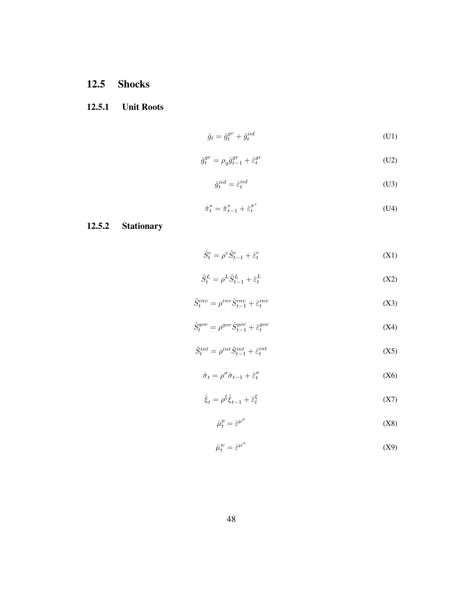## **12.5 Shocks**

## **12.5.1 Unit Roots**

$$
\hat{g}_t = \hat{g}_t^{gr} + \hat{g}_t^{iid} \tag{U1}
$$

$$
\hat{g}_t^{gr} = \rho_g \hat{g}_{t-1}^{gr} + \hat{\varepsilon}_t^{gr} \tag{U2}
$$

$$
\hat{g}_t^{iid} = \hat{\varepsilon}_t^{iid} \tag{U3}
$$

$$
\hat{\pi}_t^* = \hat{\pi}_{t-1}^* + \hat{\varepsilon}_t^{\pi^*} \tag{U4}
$$

## **12.5.2 Stationary**

$$
\hat{S}_t^c = \rho^c \hat{S}_{t-1}^c + \hat{\varepsilon}_t^c \tag{X1}
$$

$$
\hat{S}_t^L = \rho^L \hat{S}_{t-1}^L + \hat{\varepsilon}_t^L \tag{X2}
$$

$$
\hat{S}_t^{inv} = \rho^{inv} \hat{S}_{t-1}^{inv} + \hat{\varepsilon}_t^{inv}
$$
\n
$$
(X3)
$$

$$
\hat{S}_t^{gov} = \rho^{gov} \hat{S}_{t-1}^{gov} + \hat{\varepsilon}_t^{gov}
$$
 (X4)

$$
\hat{S}_t^{int} = \rho^{int} \hat{S}_{t-1}^{int} + \hat{\varepsilon}_t^{int}
$$
 (X5)

$$
\hat{\sigma}_t = \rho^\sigma \hat{\sigma}_{t-1} + \hat{\varepsilon}_t^\sigma \tag{X6}
$$

$$
\hat{\xi}_t = \rho^{\xi} \hat{\xi}_{t-1} + \hat{\varepsilon}_t^{\xi}
$$
 (X7)

$$
\hat{\mu}_t^p = \hat{\varepsilon}^{\mu^p} \tag{X8}
$$

$$
\hat{\mu}_t^w = \hat{\varepsilon}^{\mu^w} \tag{X9}
$$